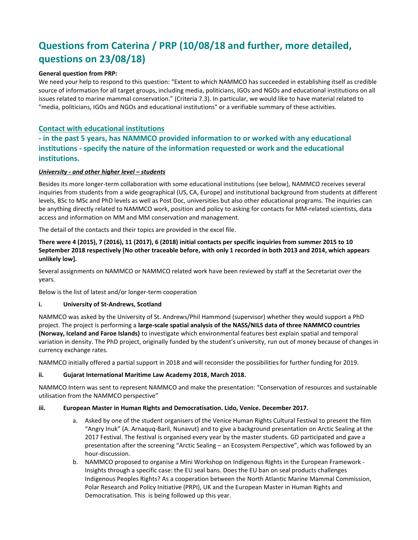# **Questions from Caterina / PRP (10/08/18 and further, more detailed, questions on 23/08/18)**

# **General question from PRP:**

We need your help to respond to this question: "Extent to which NAMMCO has succeeded in establishing itself as credible source of information for all target groups, including media, politicians, IGOs and NGOs and educational institutions on all issues related to marine mammal conservation." (Criteria 7.3). In particular, we would like to have material related to "media, politicians, IGOs and NGOs and educational institutions" or a verifiable summary of these activities.

# **Contact with educational institutions**

# **- in the past 5 years, has NAMMCO provided information to or worked with any educational institutions - specify the nature of the information requested or work and the educational institutions.**

#### *<u>University - and other higher level – students</u>*

Besides its more longer-term collaboration with some educational institutions (see below), NAMMCO receives several inquiries from students from a wide geographical (US, CA, Europe) and institutional background from students at different levels, BSc to MSc and PhD levels as well as Post Doc, universities but also other educational programs. The inquiries can be anything directly related to NAMMCO work, position and policy to asking for contacts for MM-related scientists, data access and information on MM and MM conservation and management.

The detail of the contacts and their topics are provided in the excel file.

# **There were 4 (2015), 7 (2016), 11 (2017), 6 (2018) initial contacts per specific inquiries from summer 2015 to 10 September 2018 respectively [No other traceable before, with only 1 recorded in both 2013 and 2014, which appears unlikely low].**

Several assignments on NAMMCO or NAMMCO related work have been reviewed by staff at the Secretariat over the years.

Below is the list of latest and/or longer-term cooperation

#### **i. University of St-Andrews, Scotland**

NAMMCO was asked by the University of St. Andrews/Phil Hammond (supervisor) whether they would support a PhD project. The project is performing a **large-scale spatial analysis of the NASS/NILS data of three NAMMCO countries (Norway, Iceland and Faroe Islands)** to investigate which environmental features best explain spatial and temporal variation in density. The PhD project, originally funded by the student's university, run out of money because of changes in currency exchange rates.

NAMMCO initially offered a partial support in 2018 and will reconsider the possibilities for further funding for 2019.

# **ii. Gujarat International Maritime Law Academy 2018, March 2018.**

NAMMCO Intern was sent to represent NAMMCO and make the presentation: "Conservation of resources and sustainable utilisation from the NAMMCO perspective"

#### **iii. European Master in Human Rights and Democratisation. Lido, Venice. December 2017.**

- a. Asked by one of the student organisers of the Venice Human Rights Cultural Festival to present the film "Angry Inuk" (A. Arnaquq-Baril, Nunavut) and to give a background presentation on Arctic Sealing at the 2017 Festival. The festival is organised every year by the master students. GD participated and gave a presentation after the screening "Arctic Sealing – an Ecosystem Perspective", which was followed by an hour-discussion.
- b. NAMMCO proposed to organise a Mini Workshop on Indigenous Rights in the European Framework Insights through a specific case: the EU seal bans. Does the EU ban on seal products challenges Indigenous Peoples Rights? As a cooperation between the North Atlantic Marine Mammal Commission, Polar Research and Policy Initiative (PRPI), UK and the European Master in Human Rights and Democratisation. This is being followed up this year.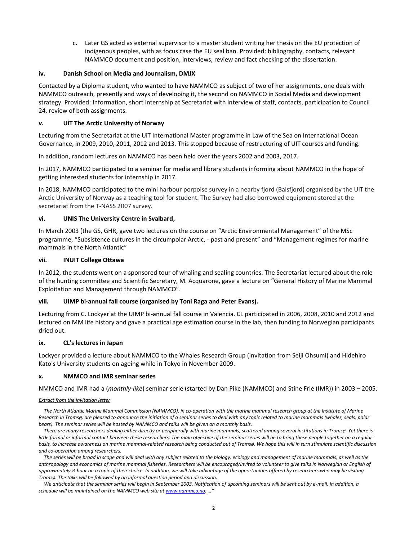c. Later GS acted as external supervisor to a master student writing her thesis on the EU protection of indigenous peoples, with as focus case the EU seal ban. Provided: bibliography, contacts, relevant NAMMCO document and position, interviews, review and fact checking of the dissertation.

## **iv. Danish School on Media and Journalism, DMJX**

Contacted by a Diploma student, who wanted to have NAMMCO as subject of two of her assignments, one deals with NAMMCO outreach, presently and ways of developing it, the second on NAMMCO in Social Media and development strategy. Provided: Information, short internship at Secretariat with interview of staff, contacts, participation to Council 24, review of both assignments.

## **v. UiT The Arctic University of Norway**

Lecturing from the Secretariat at the UiT International Master programme in Law of the Sea on International Ocean Governance, in 2009, 2010, 2011, 2012 and 2013. This stopped because of restructuring of UIT courses and funding.

In addition, random lectures on NAMMCO has been held over the years 2002 and 2003, 2017.

In 2017, NAMMCO participated to a seminar for media and library students informing about NAMMCO in the hope of getting interested students for internship in 2017.

In 2018, NAMMCO participated to the mini harbour porpoise survey in a nearby fjord (Balsfjord) organised by the UiT the Arctic University of Norway as a teaching tool for student. The Survey had also borrowed equipment stored at the secretariat from the T-NASS 2007 survey.

### **vi. [UNIS The University Centre in Svalbard,](https://www.unis.no/)**

In March 2003 (the GS, GHR, gave two lectures on the course on "Arctic Environmental Management" of the MSc programme, "Subsistence cultures in the circumpolar Arctic, - past and present" and "Management regimes for marine mammals in the North Atlantic"

#### **vii. INUIT College Ottawa**

In 2012, the students went on a sponsored tour of whaling and sealing countries. The Secretariat lectured about the role of the hunting committee and Scientific Secretary, M. Acquarone, gave a lecture on "General History of Marine Mammal Exploitation and Management through NAMMCO".

# **viii. UIMP bi-annual fall course (organised by Toni Raga and Peter Evans).**

Lecturing from C. Lockyer at the UIMP bi-annual fall course in Valencia. CL participated in 2006, 2008, 2010 and 2012 and lectured on MM life history and gave a practical age estimation course in the lab, then funding to Norwegian participants dried out.

#### **ix. CL's lectures in Japan**

Lockyer provided a lecture about NAMMCO to the Whales Research Group (invitation from Seiji Ohsumi) and Hidehiro Kato's University students on ageing while in Tokyo in November 2009.

#### **x. NMMCO and IMR seminar series**

NMMCO and IMR had a (*monthly-like*) seminar serie (started by Dan Pike (NAMMCO) and Stine Frie (IMR)) in 2003 – 2005.

#### *Extract from the invitation letter*

The North Atlantic Marine Mammal Commission (NAMMCO), in co-operation with the marine mammal research group at the Institute of Marine *Research in Tromsø, are pleased to announce the initiation of a seminar series to deal with any topic related to marine mammals (whales, seals, polar bears). The seminar series will be hosted by NAMMCO and talks will be given on a monthly basis.*

*There are many researchers dealing either directly or peripherally with marine mammals, scattered among several institutions in Tromsø. Yet there is*  little formal or informal contact between these researchers. The main objective of the seminar series will be to bring these people together on a regular *basis, to increase awareness on marine mammal-related research being conducted out of Tromsø. We hope this will in turn stimulate scientific discussion and co-operation among researchers.*

*The series will be broad in scope and will deal with any subject related to the biology, ecology and management of marine mammals, as well as the anthropology and economics of marine mammal fisheries. Researchers will be encouraged/invited to volunteer to give talks in Norwegian or English of approximately ½ hour on a topic of their choice. In addition, we will take advantage of the opportunities offered by researchers who may be visiting Tromsø. The talks will be followed by an informal question period and discussion.* 

We anticipate that the seminar series will begin in September 2003. Notification of upcoming seminars will be sent out by e-mail. In addition, a *schedule will be maintained on the NAMMCO web site at [www.nammco.no.](http://www.nammco.no/) …"*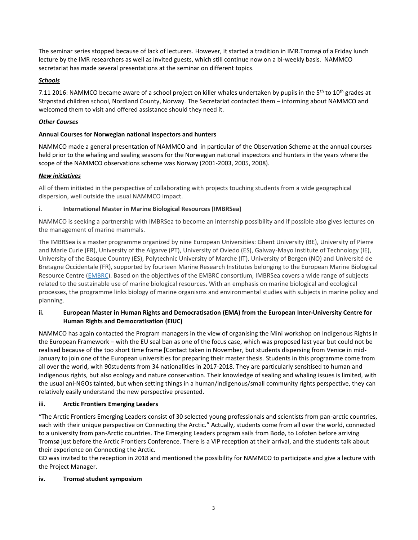The seminar series stopped because of lack of lecturers. However, it started a tradition in IMR.Tromsø of a Friday lunch lecture by the IMR researchers as well as invited guests, which still continue now on a bi-weekly basis. NAMMCO secretariat has made several presentations at the seminar on different topics.

# *Schools*

7.11 2016: NAMMCO became aware of a school project on killer whales undertaken by pupils in the 5<sup>th</sup> to 10<sup>th</sup> grades at Strønstad children school, Nordland County, Norway. The Secretariat contacted them – informing about NAMMCO and welcomed them to visit and offered assistance should they need it.

# *Other Courses*

# **Annual Courses for Norwegian national inspectors and hunters**

NAMMCO made a general presentation of NAMMCO and in particular of the Observation Scheme at the annual courses held prior to the whaling and sealing seasons for the Norwegian national inspectors and hunters in the years where the scope of the NAMMCO observations scheme was Norway (2001-2003, 2005, 2008).

# *New initiatives*

All of them initiated in the perspective of collaborating with projects touching students from a wide geographical dispersion, well outside the usual NAMMCO impact.

# **i. International Master in Marine Biological Resources (IMBRSea)**

NAMMCO is seeking a partnership with IMBRSea to become an internship possibility and if possible also gives lectures on the management of marine mammals.

The IMBRSea is a master programme organized by nine European Universities: Ghent University (BE), University of Pierre and Marie Curie (FR), University of the Algarve (PT), University of Oviedo (ES), Galway-Mayo Institute of Technology (IE), University of the Basque Country (ES), Polytechnic University of Marche (IT), University of Bergen (NO) and Université de Bretagne Occidentale (FR), supported by fourteen Marine Research Institutes belonging to the European Marine Biological Resource Centre [\(EMBRC\)](http://www.embrc.eu/). Based on the objectives of the EMBRC consortium, IMBRSea covers a wide range of subjects related to the sustainable use of marine biological resources. With an emphasis on marine biological and ecological processes, the programme links biology of marine organisms and environmental studies with subjects in marine policy and planning.

# **ii. European Master in Human Rights and Democratisation (EMA) from the European Inter-University Centre for Human Rights and Democratisation (EIUC)**

NAMMCO has again contacted the Program managers in the view of organising the Mini workshop on Indigenous Rights in the European Framework – with the EU seal ban as one of the focus case, which was proposed last year but could not be realised because of the too short time frame [Contact taken in November, but students dispersing from Venice in mid-January to join one of the European universities for preparing their master thesis. Students in this programme come from all over the world, with 90students from 34 nationalities in 2017-2018. They are particularly sensitised to human and indigenous rights, but also ecology and nature conservation. Their knowledge of sealing and whaling issues is limited, with the usual ani-NGOs tainted, but when setting things in a human/indigenous/small community rights perspective, they can relatively easily understand the new perspective presented.

# **iii. Arctic Frontiers Emerging Leaders**

"The Arctic Frontiers Emerging Leaders consist of 30 selected young professionals and scientists from pan-arctic countries, each with their unique perspective on Connecting the Arctic." Actually, students come from all over the world, connected to a university from pan-Arctic countries. The Emerging Leaders program sails from Bodø, to Lofoten before arriving Tromsø just before the Arctic Frontiers Conference. There is a VIP reception at their arrival, and the students talk about their experience on Connecting the Arctic.

GD was invited to the reception in 2018 and mentioned the possibility for NAMMCO to participate and give a lecture with the Project Manager.

# **iv. Tromsø student symposium**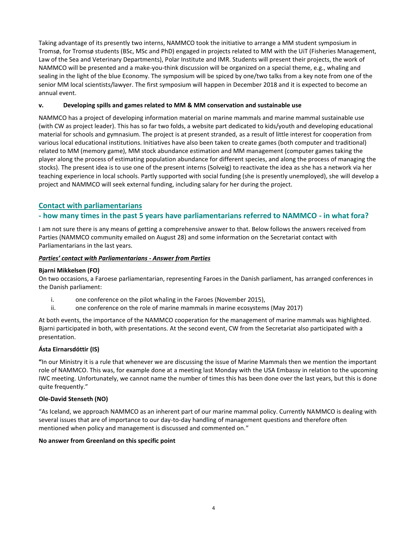Taking advantage of its presently two interns, NAMMCO took the initiative to arrange a MM student symposium in Tromsø, for Tromsø students (BSc, MSc and PhD) engaged in projects related to MM with the UiT (Fisheries Management, Law of the Sea and Veterinary Departments), Polar Institute and IMR. Students will present their projects, the work of NAMMCO will be presented and a make-you-think discussion will be organized on a special theme, e.g., whaling and sealing in the light of the blue Economy. The symposium will be spiced by one/two talks from a key note from one of the senior MM local scientists/lawyer. The first symposium will happen in December 2018 and it is expected to become an annual event.

# **v. Developing spills and games related to MM & MM conservation and sustainable use**

NAMMCO has a project of developing information material on marine mammals and marine mammal sustainable use (with CW as project leader). This has so far two folds, a website part dedicated to kids/youth and developing educational material for schools and gymnasium. The project is at present stranded, as a result of little interest for cooperation from various local educational institutions. Initiatives have also been taken to create games (both computer and traditional) related to MM (memory game), MM stock abundance estimation and MM management (computer games taking the player along the process of estimating population abundance for different species, and along the process of managing the stocks). The present idea is to use one of the present interns (Solveig) to reactivate the idea as she has a network via her teaching experience in local schools. Partly supported with social funding (she is presently unemployed), she will develop a project and NAMMCO will seek external funding, including salary for her during the project.

# **Contact with parliamentarians**

# **- how many times in the past 5 years have parliamentarians referred to NAMMCO - in what fora?**

I am not sure there is any means of getting a comprehensive answer to that. Below follows the answers received from Parties (NAMMCO community emailed on August 28) and some information on the Secretariat contact with Parliamentarians in the last years.

# *Parties' contact with Parliamentarians - Answer from Parties*

# **Bjarni Mikkelsen (FO)**

On two occasions, a Faroese parliamentarian, representing Faroes in the Danish parliament, has arranged conferences in the Danish parliament:

- i. one conference on the pilot whaling in the Faroes (November 2015),
- ii. one conference on the role of marine mammals in marine ecosystems (May 2017)

At both events, the importance of the NAMMCO cooperation for the management of marine mammals was highlighted. Bjarni participated in both, with presentations. At the second event, CW from the Secretariat also participated with a presentation.

# **Ásta Eirnarsdóttir (IS)**

**"**In our Ministry it is a rule that whenever we are discussing the issue of Marine Mammals then we mention the important role of NAMMCO. This was, for example done at a meeting last Monday with the USA Embassy in relation to the upcoming IWC meeting. Unfortunately, we cannot name the number of times this has been done over the last years, but this is done quite frequently."

# **Ole-David Stenseth (NO)**

"As Iceland, we approach NAMMCO as an inherent part of our marine mammal policy. Currently NAMMCO is dealing with several issues that are of importance to our day-to-day handling of management questions and therefore often mentioned when policy and management is discussed and commented on."

# **No answer from Greenland on this specific point**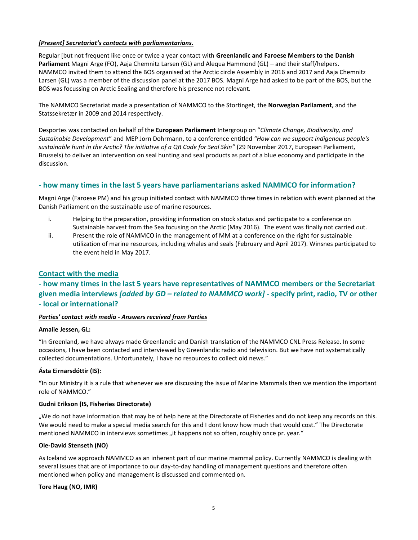# *[Present] Secretariat's contacts with parliamentarians.*

Regular [but not frequent like once or twice a year contact with **Greenlandic and Faroese Members to the Danish Parliament** Magni Arge (FO), Aaja Chemnitz Larsen (GL) and Alequa Hammond (GL) – and their staff/helpers. NAMMCO invited them to attend the BOS organised at the Arctic circle Assembly in 2016 and 2017 and Aaja Chemnitz Larsen (GL) was a member of the discussion panel at the 2017 BOS. Magni Arge had asked to be part of the BOS, but the BOS was focussing on Arctic Sealing and therefore his presence not relevant.

The NAMMCO Secretariat made a presentation of NAMMCO to the Stortinget, the **Norwegian Parliament,** and the Statssekretær in 2009 and 2014 respectively.

Desportes was contacted on behalf of the **European Parliament** Intergroup on "*Climate Change, Biodiversity, and Sustainable Development*" and MEP Jorn Dohrmann, to a conference entitled *"How can we support indigenous people's sustainable hunt in the Arctic? The initiative of a QR Code for Seal Skin"* (29 November 2017, European Parliament, Brussels) to deliver an intervention on seal hunting and seal products as part of a blue economy and participate in the discussion.

# **- how many times in the last 5 years have parliamentarians asked NAMMCO for information?**

Magni Arge (Faroese PM) and his group initiated contact with NAMMCO three times in relation with event planned at the Danish Parliament on the sustainable use of marine resources.

- i. Helping to the preparation, providing information on stock status and participate to a conference on Sustainable harvest from the Sea focusing on the Arctic (May 2016). The event was finally not carried out.
- ii. Present the role of NAMMCO in the management of MM at a conference on the right for sustainable utilization of marine resources, including whales and seals (February and April 2017). Winsnes participated to the event held in May 2017.

# **Contact with the media**

# **- how many times in the last 5 years have representatives of NAMMCO members or the Secretariat given media interviews** *[added by GD – related to NAMMCO work]* **- specify print, radio, TV or other - local or international?**

# *Parties' contact with media - Answers received from Parties*

#### **Amalie Jessen, GL:**

"In Greenland, we have always made Greenlandic and Danish translation of the NAMMCO CNL Press Release. In some occasions, I have been contacted and interviewed by Greenlandic radio and television. But we have not systematically collected documentations. Unfortunately, I have no resources to collect old news."

# **Ásta Eirnarsdóttir (IS):**

**"**In our Ministry it is a rule that whenever we are discussing the issue of Marine Mammals then we mention the important role of NAMMCO."

#### **Gudni Erikson (IS, Fisheries Directorate)**

"We do not have information that may be of help here at the Directorate of Fisheries and do not keep any records on this. We would need to make a special media search for this and I dont know how much that would cost." The Directorate mentioned NAMMCO in interviews sometimes "it happens not so often, roughly once pr. year."

#### **Ole-David Stenseth (NO)**

As Iceland we approach NAMMCO as an inherent part of our marine mammal policy. Currently NAMMCO is dealing with several issues that are of importance to our day-to-day handling of management questions and therefore often mentioned when policy and management is discussed and commented on.

#### **Tore Haug (NO, IMR)**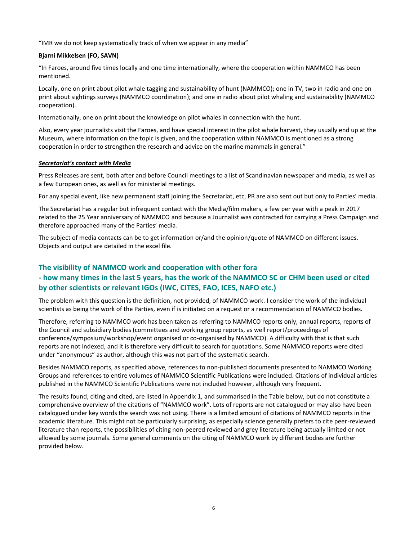"IMR we do not keep systematically track of when we appear in any media"

## **Bjarni Mikkelsen (FO, SAVN)**

"In Faroes, around five times locally and one time internationally, where the cooperation within NAMMCO has been mentioned.

Locally, one on print about pilot whale tagging and sustainability of hunt (NAMMCO); one in TV, two in radio and one on print about sightings surveys (NAMMCO coordination); and one in radio about pilot whaling and sustainability (NAMMCO cooperation).

Internationally, one on print about the knowledge on pilot whales in connection with the hunt.

Also, every year journalists visit the Faroes, and have special interest in the pilot whale harvest, they usually end up at the Museum, where information on the topic is given, and the cooperation within NAMMCO is mentioned as a strong cooperation in order to strengthen the research and advice on the marine mammals in general."

### *Secretariat's contact with Media*

Press Releases are sent, both after and before Council meetings to a list of Scandinavian newspaper and media, as well as a few European ones, as well as for ministerial meetings.

For any special event, like new permanent staff joining the Secretariat, etc, PR are also sent out but only to Parties' media.

The Secretariat has a regular but infrequent contact with the Media/film makers, a few per year with a peak in 2017 related to the 25 Year anniversary of NAMMCO and because a Journalist was contracted for carrying a Press Campaign and therefore approached many of the Parties' media.

The subject of media contacts can be to get information or/and the opinion/quote of NAMMCO on different issues. Objects and output are detailed in the excel file.

# **The visibility of NAMMCO work and cooperation with other fora**

# **- how many times in the last 5 years, has the work of the NAMMCO SC or CHM been used or cited by other scientists or relevant IGOs (IWC, CITES, FAO, ICES, NAFO etc.)**

The problem with this question is the definition, not provided, of NAMMCO work. I consider the work of the individual scientists as being the work of the Parties, even if is initiated on a request or a recommendation of NAMMCO bodies.

Therefore, referring to NAMMCO work has been taken as referring to NAMMCO reports only, annual reports, reports of the Council and subsidiary bodies (committees and working group reports, as well report/proceedings of conference/symposium/workshop/event organised or co-organised by NAMMCO). A difficulty with that is that such reports are not indexed, and it is therefore very difficult to search for quotations. Some NAMMCO reports were cited under "anonymous" as author, although this was not part of the systematic search.

Besides NAMMCO reports, as specified above, references to non-published documents presented to NAMMCO Working Groups and references to entire volumes of NAMMCO Scientific Publications were included. Citations of individual articles published in the NAMMCO Scientific Publications were not included however, although very frequent.

The results found, citing and cited, are listed in Appendix 1, and summarised in the Table below, but do not constitute a comprehensive overview of the citations of "NAMMCO work". Lots of reports are not catalogued or may also have been catalogued under key words the search was not using. There is a limited amount of citations of NAMMCO reports in the academic literature. This might not be particularly surprising, as especially science generally prefers to cite peer-reviewed literature than reports, the possibilities of citing non-peered reviewed and grey literature being actually limited or not allowed by some journals. Some general comments on the citing of NAMMCO work by different bodies are further provided below.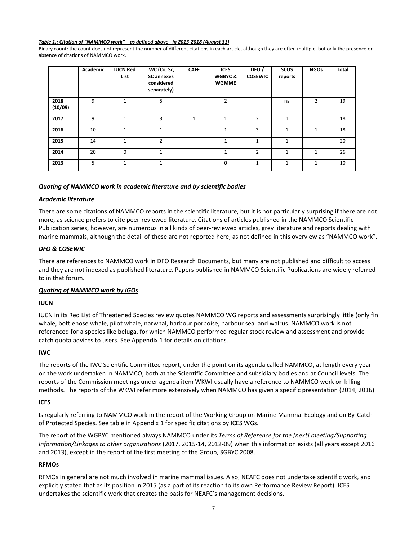#### *Table 1.: Citation of "NAMMCO work" – as defined above - in 2013-2018 (August 31)*

Binary count: the count does not represent the number of different citations in each article, although they are often multiple, but only the presence or absence of citations of NAMMCO work.

|                 | Academic | <b>IUCN Red</b><br>List | IWC (Co, Sc,<br><b>SC</b> annexes<br>considered<br>separately) | <b>CAFF</b>  | <b>ICES</b><br><b>WGBYC &amp;</b><br><b>WGMME</b> | DFO/<br><b>COSEWIC</b> | <b>SCOS</b><br>reports | <b>NGOs</b>  | <b>Total</b> |
|-----------------|----------|-------------------------|----------------------------------------------------------------|--------------|---------------------------------------------------|------------------------|------------------------|--------------|--------------|
| 2018<br>(10/09) | 9        | 1                       | 5                                                              |              | $\overline{2}$                                    |                        | na                     | 2            | 19           |
| 2017            | 9        | $\mathbf{1}$            | 3                                                              | $\mathbf{1}$ | $\mathbf{1}$                                      | $\overline{2}$         | $\mathbf{1}$           |              | 18           |
| 2016            | 10       | $\mathbf{1}$            | $\mathbf{1}$                                                   |              | $\mathbf{1}$                                      | 3                      | $\mathbf{1}$           | $\mathbf{1}$ | 18           |
| 2015            | 14       | $\mathbf{1}$            | $\overline{2}$                                                 |              | $\mathbf{1}$                                      | $\mathbf{1}$           | $\mathbf{1}$           |              | 20           |
| 2014            | 20       | $\Omega$                | $\mathbf{1}$                                                   |              | $\mathbf{1}$                                      | $\overline{2}$         | 1                      | $\mathbf{1}$ | 26           |
| 2013            | 5        | $\mathbf{1}$            | $\mathbf{1}$                                                   |              | $\mathbf 0$                                       | $\mathbf{1}$           | $\mathbf{1}$           | $\mathbf{1}$ | 10           |

#### *Quoting of NAMMCO work in academic literature and by scientific bodies*

#### *Academic literature*

There are some citations of NAMMCO reports in the scientific literature, but it is not particularly surprising if there are not more, as science prefers to cite peer-reviewed literature. Citations of articles published in the NAMMCO Scientific Publication series, however, are numerous in all kinds of peer-reviewed articles, grey literature and reports dealing with marine mammals, although the detail of these are not reported here, as not defined in this overview as "NAMMCO work".

### *DFO & COSEWIC*

There are references to NAMMCO work in DFO Research Documents, but many are not published and difficult to access and they are not indexed as published literature. Papers published in NAMMCO Scientific Publications are widely referred to in that forum.

# *Quoting of NAMMCO work by IGOs*

#### **IUCN**

IUCN in its Red List of Threatened Species review quotes NAMMCO WG reports and assessments surprisingly little (only fin whale, bottlenose whale, pilot whale, narwhal, harbour porpoise, harbour seal and walrus. NAMMCO work is not referenced for a species like beluga, for which NAMMCO performed regular stock review and assessment and provide catch quota advices to users. See Appendix 1 for details on citations.

#### **IWC**

The reports of the IWC Scientific Committee report, under the point on its agenda called NAMMCO, at length every year on the work undertaken in NAMMCO, both at the Scientific Committee and subsidiary bodies and at Council levels. The reports of the Commission meetings under agenda item WKWI usually have a reference to NAMMCO work on killing methods. The reports of the WKWI refer more extensively when NAMMCO has given a specific presentation (2014, 2016)

#### **ICES**

Is regularly referring to NAMMCO work in the report of the Working Group on Marine Mammal Ecology and on By-Catch of Protected Species. See table in Appendix 1 for specific citations by ICES WGs.

The report of the WGBYC mentioned always NAMMCO under its *Terms of Reference for the [next] meeting/Supporting Information/Linkages to other organisations* (2017, 2015-14, 2012-09) when this information exists (all years except 2016 and 2013), except in the report of the first meeting of the Group, SGBYC 2008.

## **RFMOs**

RFMOs in general are not much involved in marine mammal issues. Also, NEAFC does not undertake scientific work, and explicitly stated that as its position in 2015 (as a part of its reaction to its own Performance Review Report). ICES undertakes the scientific work that creates the basis for NEAFC's management decisions.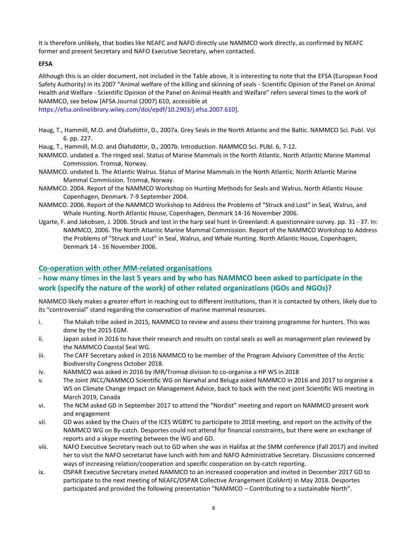It is therefore unlikely, that bodies like NEAFC and NAFO directly use NAMMCO work directly, as confirmed by NEAFC former and present Secretary and NAFO Executive Secretary, when contacted.

# **EFSA**

Although this is an older document, not included in the Table above, it is interesting to note that the EFSA (European Food Safety Authority) in its 2007 "Animal welfare of the killing and skinning of seals - Scientific Opinion of the Panel on Animal Health and Welfare - Scientific Opinion of the Panel on Animal Health and Welfare" refers several times to the work of NAMMCO, see below [AFSA Journal (2007) 610, accessible at

[https://efsa.onlinelibrary.wiley.com/doi/epdf/10.2903/j.efsa.2007.610\]](https://efsa.onlinelibrary.wiley.com/doi/epdf/10.2903/j.efsa.2007.610).

- Haug, T., Hammill, M.O. and Ólafsdóttir, D., 2007a. Grey Seals in the North Atlantic and the Baltic. NAMMCO Sci. Publ. Vol 6. pp. 227.
- Haug, T., Hammill, M.O. and Ólafsdóttir, D., 2007b. Introduction. NAMMCO Sci. PUbl. 6, 7-12.
- NAMMCO. undated a. The ringed seal. Status of Marine Mammals in the North Atlantic. North Atlantic Marine Mammal Commission. Tromsø, Norway.
- NAMMCO. undated b. The Atlantic Walrus. Status of Marine Mammals in the North Atlantic. North Atlantic Marine Mammal Commission. Tromsø, Norway.
- NAMMCO. 2004. Report of the NAMMCO Workshop on Hunting Methods for Seals and Walrus. North Atlantic House Copenhagen, Denmark. 7-9 September 2004.
- NAMMCO. 2006. Report of the NAMMCO Workshop to Address the Problems of "Struck and Lost" in Seal, Walrus, and Whale Hunting. North Atlantic House, Copenhagen, Denmark 14-16 November 2006.
- Ugarte, F. and Jakobsen, J. 2006. Struck and lost in the harp seal hunt in Greenland: A questionnaire survey. pp. 31 37. In: NAMMCO, 2006. The North Atlantic Marine Mammal Commission. Report of the NAMMCO Workshop to Address the Problems of "Struck and Lost" in Seal, Walrus, and Whale Hunting. North Atlantic House, Copenhagen, Denmark 14 - 16 November 2006.

# **Co-operation with other MM-related organisations**

# **- how many times in the last 5 years and by who has NAMMCO been asked to participate in the work (specify the nature of the work) of other related organizations (IGOs and NGOs)?**

NAMMCO likely makes a greater effort in reaching out to different institutions, than it is contacted by others, likely due to its "controversial" stand regarding the conservation of marine mammal resources.

- i. The Makah tribe asked in 2015, NAMMCO to review and assess their training programme for hunters. This was done by the 2015 EGM.
- ii. Japan asked in 2016 to have their research and results on costal seals as well as management plan reviewed by the NAMMCO Coastal Seal WG.
- iii. The CAFF Secretary asked in 2016 NAMMCO to be member of the Program Advisory Committee of the Arctic Biodiversity Congress October 2018.
- iv. NAMMCO was asked in 2016 by IMR/Tromsø division to co-organise a HP WS in 2018
- v. The Joint JNCC/NAMMCO Scientific WG on Narwhal and Beluga asked NAMMCO in 2016 and 2017 to organise a WS on Climate Change Impact on Management Advice, back to back with the next joint Scientific WG meeting in March 2019, Canada
- vi. The NCM asked GD in September 2017 to attend the "Nordist" meeting and report on NAMMCO present work and engagement
- vii. GD was asked by the Chairs of the ICES WGBYC to participate to 2018 meeting, and report on the activity of the NAMMCO WG on By-catch. Desportes could not attend for financial constraints, but there were an exchange of reports and a skype meeting between the WG and GD.
- viii. NAFO Executive Secretary reach out to GD when she was in Halifax at the SMM conference (Fall 2017) and invited her to visit the NAFO secretariat have lunch with him and NAFO Administrative Secretary. Discussions concerned ways of increasing relation/cooperation and specific cooperation on by-catch reporting.
- ix. OSPAR Executive Secretary invited NAMMCO to an increased cooperation and invited in December 2017 GD to participate to the next meeting of NEAFC/OSPAR Collective Arrangement (CollArrt) in May 2018. Desportes participated and provided the following presentation "NAMMCO – Contributing to a sustainable North".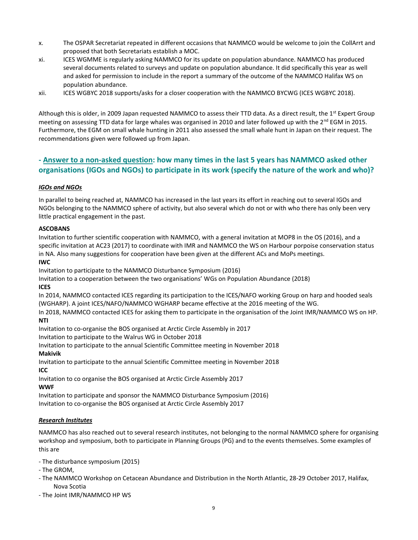- x. The OSPAR Secretariat repeated in different occasions that NAMMCO would be welcome to join the CollArrt and proposed that both Secretariats establish a MOC.
- xi. ICES WGMME is regularly asking NAMMCO for its update on population abundance. NAMMCO has produced several documents related to surveys and update on population abundance. It did specifically this year as well and asked for permission to include in the report a summary of the outcome of the NAMMCO Halifax WS on population abundance.
- xii. ICES WGBYC 2018 supports/asks for a closer cooperation with the NAMMCO BYCWG (ICES WGBYC 2018).

Although this is older, in 2009 Japan requested NAMMCO to assess their TTD data. As a direct result, the 1<sup>st</sup> Expert Group meeting on assessing TTD data for large whales was organised in 2010 and later followed up with the  $2^{nd}$  EGM in 2015. Furthermore, the EGM on small whale hunting in 2011 also assessed the small whale hunt in Japan on their request. The recommendations given were followed up from Japan.

# **- Answer to a non-asked question: how many times in the last 5 years has NAMMCO asked other organisations (IGOs and NGOs) to participate in its work (specify the nature of the work and who)?**

# *IGOs and NGOs*

In parallel to being reached at, NAMMCO has increased in the last years its effort in reaching out to several IGOs and NGOs belonging to the NAMMCO sphere of activity, but also several which do not or with who there has only been very little practical engagement in the past.

# **ASCOBANS**

Invitation to further scientific cooperation with NAMMCO, with a general invitation at MOP8 in the OS (2016), and a specific invitation at AC23 (2017) to coordinate with IMR and NAMMCO the WS on Harbour porpoise conservation status in NA. Also many suggestions for cooperation have been given at the different ACs and MoPs meetings.

# **IWC**

Invitation to participate to the NAMMCO Disturbance Symposium (2016)

Invitation to a cooperation between the two organisations' WGs on Population Abundance (2018)

# **ICES**

In 2014, NAMMCO contacted ICES regarding its participation to the ICES/NAFO working Group on harp and hooded seals (WGHARP). A joint ICES/NAFO/NAMMCO WGHARP became effective at the 2016 meeting of the WG.

In 2018, NAMMCO contacted ICES for asking them to participate in the organisation of the Joint IMR/NAMMCO WS on HP. **NTI**

Invitation to co-organise the BOS organised at Arctic Circle Assembly in 2017

Invitation to participate to the Walrus WG in October 2018

Invitation to participate to the annual Scientific Committee meeting in November 2018

# **Makivik**

Invitation to participate to the annual Scientific Committee meeting in November 2018 **ICC**

Invitation to co organise the BOS organised at Arctic Circle Assembly 2017

# **WWF**

Invitation to participate and sponsor the NAMMCO Disturbance Symposium (2016)

Invitation to co-organise the BOS organised at Arctic Circle Assembly 2017

# *Research Institutes*

NAMMCO has also reached out to several research institutes, not belonging to the normal NAMMCO sphere for organising workshop and symposium, both to participate in Planning Groups (PG) and to the events themselves. Some examples of this are

- The disturbance symposium (2015)
- The GROM,
- The NAMMCO Workshop on Cetacean Abundance and Distribution in the North Atlantic, 28-29 October 2017, Halifax, Nova Scotia
- The Joint IMR/NAMMCO HP WS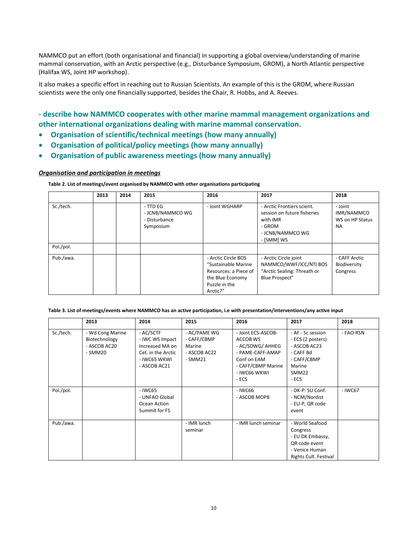NAMMCO put an effort (both organisational and financial) in supporting a global overview/understanding of marine mammal conservation, with an Arctic perspective (e.g., Disturbance Symposium, GROM), a North Atlantic perspective (Halifax WS, Joint HP workshop).

It also makes a specific effort in reaching out to Russian Scientists. An example of this is the GROM, where Russian scientists were the only one financially supported, besides the Chair, R. Hobbs, and A. Reeves.

# **- describe how NAMMCO cooperates with other marine mammal management organizations and other international organizations dealing with marine mammal conservation.**

- **Organisation of scientific/technical meetings (how many annually)**
- **Organisation of political/policy meetings (how many annually)**
- **Organisation of public awareness meetings (how many annually)**

### *Organisation and participation in meetings*

#### **Table 2. List of meetings/event organised by NAMMCO with other organisations participating**

|           | 2013 | 2014 | 2015                                                       | 2016                                                                                                                 | 2017                                                                                                              | 2018                                                  |
|-----------|------|------|------------------------------------------------------------|----------------------------------------------------------------------------------------------------------------------|-------------------------------------------------------------------------------------------------------------------|-------------------------------------------------------|
| Sc./tech. |      |      | - TTD EG<br>- JCNB/NAMMCO WG<br>- Disturbance<br>Symposium | - Joint WGHARP                                                                                                       | - Arctic Frontiers scient.<br>session on future fisheries<br>with IMR<br>- GROM<br>- JCNB/NAMMCO WG<br>- [SMM] WS | - Joint<br>IMR/NAMMCO<br>WS on HP Status<br><b>NA</b> |
| Pol./pol. |      |      |                                                            |                                                                                                                      |                                                                                                                   |                                                       |
| Pub./awa. |      |      |                                                            | - Arctic Circle BOS<br>"Sustainable Marine<br>Resources: a Piece of<br>the Blue Economy<br>Puzzle in the<br>Arctic?" | - Arctic Circle joint<br>NAMMCO/WWF/ICC/NTI BOS<br>"Arctic Sealing: Threath or<br><b>Blue Prospect"</b>           | - CAFF Arctic<br>Biodiversity<br>Congress             |

#### **Table 3. List of meetings/events where NAMMCO has an active participation, i.e with presentation/interventions/any active input**

|           | 2013                                                         | 2014                                                                                                  | 2015                                                              | 2016                                                                                                                                 | 2017                                                                                                           | 2018      |
|-----------|--------------------------------------------------------------|-------------------------------------------------------------------------------------------------------|-------------------------------------------------------------------|--------------------------------------------------------------------------------------------------------------------------------------|----------------------------------------------------------------------------------------------------------------|-----------|
| Sc./tech. | - Wd Cong Marine<br>Biotechnology<br>- ASCOB AC20<br>- SMM20 | - AC/SCTF<br>- IWC WS Impact<br>Increased MA on<br>Cet. in the Arctic<br>- IWC65 WKWI<br>- ASCOB AC21 | - AC/PAME WG<br>- CAFF/CBMP<br>Marine<br>- ASCOB AC22<br>$-SMM21$ | - Joint ECS-ASCOB-<br>ACCOB WS<br>- AC/SDWG/ AHHEG<br>- PAME-CAFF-AMAP<br>Conf on EAM<br>- CAFF/CBMP Marine<br>- IWC66 WKWI<br>- ECS | - AF - Sc session<br>- ECS (2 posters)<br>- ASCOB AC23<br>- CAFF Bd<br>- CAFF/CBMP<br>Marine<br>SMM22<br>- ECS | - FAO-RSN |
| Pol./pol. |                                                              | - IWC65<br>- UNFAO Global<br>Ocean Action<br>Summit for FS                                            |                                                                   | - IWC66<br>- ASCOB MOP8                                                                                                              | - DK-P: SU Conf.<br>- NCM/Nordist<br>- EU-P, QR code<br>event                                                  | $-$ IWC67 |
| Pub./awa. |                                                              |                                                                                                       | - IMR lunch<br>seminar                                            | - IMR lunch seminar                                                                                                                  | - World Seafood<br>Congress<br>- EU DK Embassy,<br>OR code event<br>- Venice Human<br>Rights Cult. Festival    |           |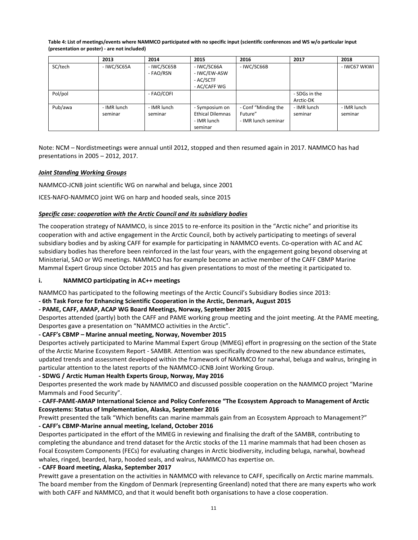| Table 4: List of meetings/events where NAMMCO participated with no specific input (scientific conferences and WS w/o particular input |
|---------------------------------------------------------------------------------------------------------------------------------------|
| (presentation or poster) - are not included)                                                                                          |

|         | 2013        | 2014        | 2015                    | 2016                | 2017          | 2018         |
|---------|-------------|-------------|-------------------------|---------------------|---------------|--------------|
| SC/tech | - IWC/SC65A | - IWC/SC65B | - IWC/SC66A             | - IWC/SC66B         |               | - IWC67 WKWI |
|         |             | - FAO/RSN   | - IWC/EW-ASW            |                     |               |              |
|         |             |             | - AC/SCTF               |                     |               |              |
|         |             |             | - AC/CAFF WG            |                     |               |              |
| Pol/pol |             | - FAO/COFI  |                         |                     | - SDGs in the |              |
|         |             |             |                         |                     | Arctic-DK     |              |
| Pub/awa | - IMR lunch | - IMR lunch | - Symposium on          | - Conf "Minding the | - IMR lunch   | - IMR lunch  |
|         | seminar     | seminar     | <b>Ethical Dilemnas</b> | Future"             | seminar       | seminar      |
|         |             |             | - IMR lunch             | - IMR lunch seminar |               |              |
|         |             |             | seminar                 |                     |               |              |

Note: NCM – Nordistmeetings were annual until 2012, stopped and then resumed again in 2017. NAMMCO has had presentations in 2005 – 2012, 2017.

# *Joint Standing Working Groups*

NAMMCO-JCNB joint scientific WG on narwhal and beluga, since 2001

ICES-NAFO-NAMMCO joint WG on harp and hooded seals, since 2015

# *Specific case: cooperation with the Arctic Council and its subsidiary bodies*

The cooperation strategy of NAMMCO, is since 2015 to re-enforce its position in the "Arctic niche" and prioritise its cooperation with and active engagement in the Arctic Council, both by actively participating to meetings of several subsidiary bodies and by asking CAFF for example for participating in NAMMCO events. Co-operation with AC and AC subsidiary bodies has therefore been reinforced in the last four years, with the engagement going beyond observing at Ministerial, SAO or WG meetings. NAMMCO has for example become an active member of the CAFF CBMP Marine Mammal Expert Group since October 2015 and has given presentations to most of the meeting it participated to.

# **i. NAMMCO participating in AC++ meetings**

NAMMCO has participated to the following meetings of the Arctic Council's Subsidiary Bodies since 2013:

**- 6th Task Force for Enhancing Scientific Cooperation in the Arctic, Denmark, August 2015**

# **- PAME, CAFF, AMAP, ACAP WG Board Meetings, Norway, September 2015**

Desportes attended (partly) both the CAFF and PAME working group meeting and the joint meeting. At the PAME meeting, Desportes gave a presentation on "NAMMCO activities in the Arctic".

# **- CAFF's CBMP – Marine annual meeting, Norway, November 2015**

Desportes actively participated to Marine Mammal Expert Group (MMEG) effort in progressing on the section of the State of the Arctic Marine Ecosystem Report - SAMBR. Attention was specifically drowned to the new abundance estimates, updated trends and assessment developed within the framework of NAMMCO for narwhal, beluga and walrus, bringing in particular attention to the latest reports of the NAMMCO-JCNB Joint Working Group.

# **- SDWG / Arctic Human Health Experts Group, Norway, May 2016**

Desportes presented the work made by NAMMCO and discussed possible cooperation on the NAMMCO project "Marine Mammals and Food Security".

# **- CAFF-PAME-AMAP International Science and Policy Conference "The Ecosystem Approach to Management of Arctic Ecosystems: Status of Implementation, Alaska, September 2016**

Prewitt presented the talk "Which benefits can marine mammals gain from an Ecosystem Approach to Management?" **- CAFF's CBMP-Marine annual meeting, Iceland, October 2016** 

Desportes participated in the effort of the MMEG in reviewing and finalising the draft of the SAMBR, contributing to completing the abundance and trend dataset for the Arctic stocks of the 11 marine mammals that had been chosen as Focal Ecosystem Components (FECs) for evaluating changes in Arctic biodiversity, including beluga, narwhal, bowhead whales, ringed, bearded, harp, hooded seals, and walrus, NAMMCO has expertise on.

**- CAFF Board meeting, Alaska, September 2017**

Prewitt gave a presentation on the activities in NAMMCO with relevance to CAFF, specifically on Arctic marine mammals. The board member from the Kingdom of Denmark (representing Greenland) noted that there are many experts who work with both CAFF and NAMMCO, and that it would benefit both organisations to have a close cooperation.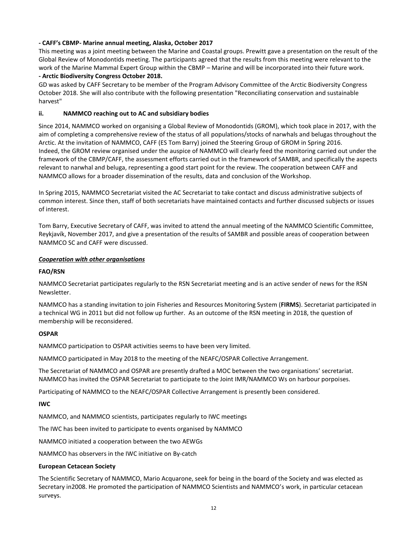# **- CAFF's CBMP- Marine annual meeting, Alaska, October 2017**

This meeting was a joint meeting between the Marine and Coastal groups. Prewitt gave a presentation on the result of the Global Review of Monodontids meeting. The participants agreed that the results from this meeting were relevant to the work of the Marine Mammal Expert Group within the CBMP – Marine and will be incorporated into their future work. **- Arctic Biodiversity Congress October 2018.**

GD was asked by CAFF Secretary to be member of the Program Advisory Committee of the Arctic Biodiversity Congress October 2018. She will also contribute with the following presentation "Reconciliating conservation and sustainable harvest"

# **ii. NAMMCO reaching out to AC and subsidiary bodies**

Since 2014, NAMMCO worked on organising a Global Review of Monodontids (GROM), which took place in 2017, with the aim of completing a comprehensive review of the status of all populations/stocks of narwhals and belugas throughout the Arctic. At the invitation of NAMMCO, CAFF (ES Tom Barry) joined the Steering Group of GROM in Spring 2016. Indeed, the GROM review organised under the auspice of NAMMCO will clearly feed the monitoring carried out under the framework of the CBMP/CAFF, the assessment efforts carried out in the framework of SAMBR, and specifically the aspects relevant to narwhal and beluga, representing a good start point for the review. The cooperation between CAFF and NAMMCO allows for a broader dissemination of the results, data and conclusion of the Workshop.

In Spring 2015, NAMMCO Secretariat visited the AC Secretariat to take contact and discuss administrative subjects of common interest. Since then, staff of both secretariats have maintained contacts and further discussed subjects or issues of interest.

Tom Barry, Executive Secretary of CAFF, was invited to attend the annual meeting of the NAMMCO Scientific Committee, Reykjavík, November 2017, and give a presentation of the results of SAMBR and possible areas of cooperation between NAMMCO SC and CAFF were discussed.

### *Cooperation with other organisations*

## **FAO/RSN**

NAMMCO Secretariat participates regularly to the RSN Secretariat meeting and is an active sender of news for the RSN Newsletter.

NAMMCO has a standing invitation to join Fisheries and Resources Monitoring System (**FIRMS**). Secretariat participated in a technical WG in 2011 but did not follow up further. As an outcome of the RSN meeting in 2018, the question of membership will be reconsidered.

# **OSPAR**

NAMMCO participation to OSPAR activities seems to have been very limited.

NAMMCO participated in May 2018 to the meeting of the NEAFC/OSPAR Collective Arrangement.

The Secretariat of NAMMCO and OSPAR are presently drafted a MOC between the two organisations' secretariat. NAMMCO has invited the OSPAR Secretariat to participate to the Joint IMR/NAMMCO Ws on harbour porpoises.

Participating of NAMMCO to the NEAFC/OSPAR Collective Arrangement is presently been considered.

# **IWC**

NAMMCO, and NAMMCO scientists, participates regularly to IWC meetings

The IWC has been invited to participate to events organised by NAMMCO

NAMMCO initiated a cooperation between the two AEWGs

NAMMCO has observers in the IWC initiative on By-catch

#### **European Cetacean Society**

The Scientific Secretary of NAMMCO, Mario Acquarone, seek for being in the board of the Society and was elected as Secretary in2008. He promoted the participation of NAMMCO Scientists and NAMMCO's work, in particular cetacean surveys.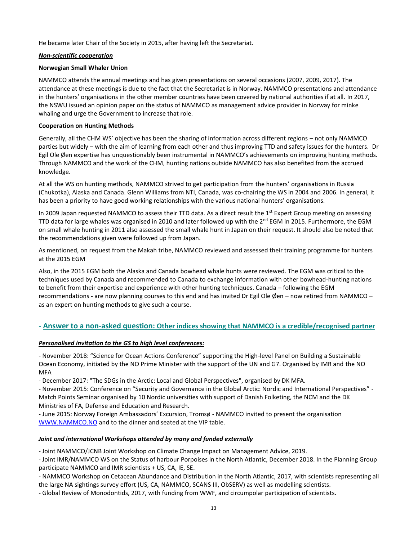He became later Chair of the Society in 2015, after having left the Secretariat.

## *Non-scientific cooperation*

## **Norwegian Small Whaler Union**

NAMMCO attends the annual meetings and has given presentations on several occasions (2007, 2009, 2017). The attendance at these meetings is due to the fact that the Secretariat is in Norway. NAMMCO presentations and attendance in the hunters' organisations in the other member countries have been covered by national authorities if at all. In 2017, the NSWU issued an opinion paper on the status of NAMMCO as management advice provider in Norway for minke whaling and urge the Government to increase that role.

## **Cooperation on Hunting Methods**

Generally, all the CHM WS' objective has been the sharing of information across different regions – not only NAMMCO parties but widely – with the aim of learning from each other and thus improving TTD and safety issues for the hunters. Dr Egil Ole Øen expertise has unquestionably been instrumental in NAMMCO's achievements on improving hunting methods. Through NAMMCO and the work of the CHM, hunting nations outside NAMMCO has also benefited from the accrued knowledge.

At all the WS on hunting methods, NAMMCO strived to get participation from the hunters' organisations in Russia (Chukotka), Alaska and Canada. Glenn Williams from NTI, Canada, was co-chairing the WS in 2004 and 2006. In general, it has been a priority to have good working relationships with the various national hunters' organisations.

In 2009 Japan requested NAMMCO to assess their TTD data. As a direct result the 1<sup>st</sup> Expert Group meeting on assessing TTD data for large whales was organised in 2010 and later followed up with the  $2^{nd}$  EGM in 2015. Furthermore, the EGM on small whale hunting in 2011 also assessed the small whale hunt in Japan on their request. It should also be noted that the recommendations given were followed up from Japan.

As mentioned, on request from the Makah tribe, NAMMCO reviewed and assessed their training programme for hunters at the 2015 EGM

Also, in the 2015 EGM both the Alaska and Canada bowhead whale hunts were reviewed. The EGM was critical to the techniques used by Canada and recommended to Canada to exchange information with other bowhead-hunting nations to benefit from their expertise and experience with other hunting techniques. Canada – following the EGM recommendations - are now planning courses to this end and has invited Dr Egil Ole Øen – now retired from NAMMCO – as an expert on hunting methods to give such a course.

# **- Answer to a non-asked question: Other indices showing that NAMMCO is a credible/recognised partner**

# *Personalised invitation to the GS to high level conferences:*

- November 2018: "Science for Ocean Actions Conference" supporting the High-level Panel on Building a Sustainable Ocean Economy, initiated by the NO Prime Minister with the support of the UN and G7. Organised by IMR and the NO MFA

- December 2017: "The SDGs in the Arctic: Local and Global Perspectives", organised by DK MFA.

- November 2015: Conference on "Security and Governance in the Global Arctic: Nordic and International Perspectives" - Match Points Seminar organised by 10 Nordic universities with support of Danish Folketing, the NCM and the DK Ministries of FA, Defense and Education and Research.

- June 2015: Norway Foreign Ambassadors' Excursion, Tromsø - NAMMCO invited to present the organisation [WWW.NAMMCO.NO](http://www.nammco.no/) and to the dinner and seated at the VIP table.

# *Joint and international Workshops attended by many and funded externally*

- Joint NAMMCO/JCNB Joint Workshop on Climate Change Impact on Management Advice, 2019.

- Joint IMR/NAMMCO WS on the Status of harbour Porpoises in the North Atlantic, December 2018. In the Planning Group participate NAMMCO and IMR scientists + US, CA, IE, SE.

- NAMMCO Workshop on Cetacean Abundance and Distribution in the North Atlantic, 2017, with scientists representing all the large NA sightings survey effort (US, CA, NAMMCO, SCANS III, ObSERV) as well as modelling scientists.

- Global Review of Monodontids, 2017, with funding from WWF, and circumpolar participation of scientists.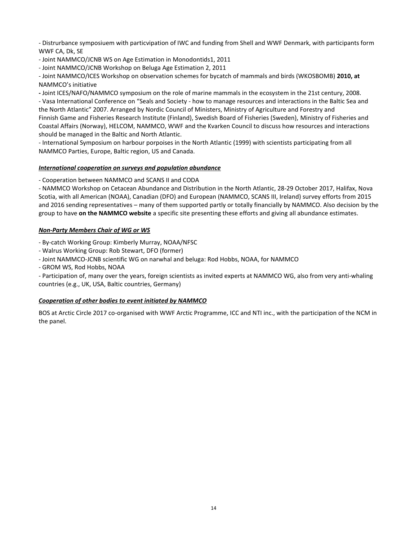- Distrurbance symposiuem with particvipation of IWC and funding from Shell and WWF Denmark, with participants form WWF CA, Dk, SE

- Joint NAMMCO/JCNB WS on Age Estimation in Monodontids1, 2011

- Joint NAMMCO/JCNB Workshop on Beluga Age Estimation 2, 2011

- Joint NAMMCO/ICES Workshop on observation schemes for bycatch of mammals and birds (WKOSBOMB) **2010, at**  NAMMCO's initiative

**-** Joint ICES/NAFO/NAMMCO symposium on the role of marine mammals in the ecosystem in the 21st century, 2008. - Vasa International Conference on "Seals and Society - how to manage resources and interactions in the Baltic Sea and the North Atlantic" 2007. Arranged by Nordic Council of Ministers, Ministry of Agriculture and Forestry and Finnish Game and Fisheries Research Institute (Finland), Swedish Board of Fisheries (Sweden), Ministry of Fisheries and Coastal Affairs (Norway), HELCOM, NAMMCO, WWF and the Kvarken Council to discuss how resources and interactions should be managed in the Baltic and North Atlantic.

- International Symposium on harbour porpoises in the North Atlantic (1999) with scientists participating from all NAMMCO Parties, Europe, Baltic region, US and Canada.

# *International cooperation on surveys and population abundance*

- Cooperation between NAMMCO and SCANS II and CODA

- NAMMCO Workshop on Cetacean Abundance and Distribution in the North Atlantic, 28-29 October 2017, Halifax, Nova Scotia, with all American (NOAA), Canadian (DFO) and European (NAMMCO, SCANS III, Ireland) survey efforts from 2015 and 2016 sending representatives – many of them supported partly or totally financially by NAMMCO. Also decision by the group to have **on the NAMMCO website** a specific site presenting these efforts and giving all abundance estimates.

# *Non-Party Members Chair of WG or WS*

- By-catch Working Group: Kimberly Murray, NOAA/NFSC

- Walrus Working Group: Rob Stewart, DFO (former)
- Joint NAMMCO-JCNB scientific WG on narwhal and beluga: Rod Hobbs, NOAA, for NAMMCO
- GROM WS, Rod Hobbs, NOAA

- Participation of, many over the years, foreign scientists as invited experts at NAMMCO WG, also from very anti-whaling countries (e.g., UK, USA, Baltic countries, Germany)

# *Cooperation of other bodies to event initiated by NAMMCO*

BOS at Arctic Circle 2017 co-organised with WWF Arctic Programme, ICC and NTI inc., with the participation of the NCM in the panel.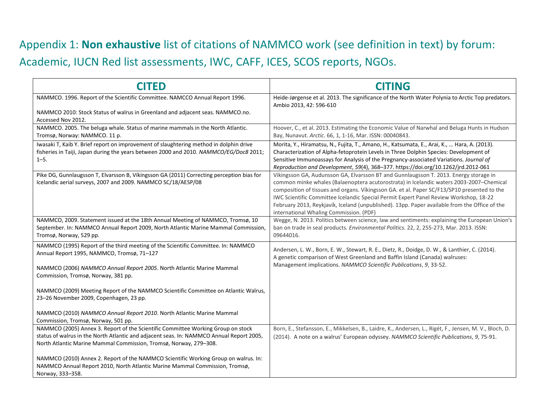# Appendix 1: **Non exhaustive** list of citations of NAMMCO work (see definition in text) by forum: Academic, IUCN Red list assessments, IWC, CAFF, ICES, SCOS reports, NGOs.

| <b>CITED</b>                                                                                                                                                                                                                                      | <b>CITING</b>                                                                                                                                                                                                                                                                                                                                                                                                                                                                                                        |
|---------------------------------------------------------------------------------------------------------------------------------------------------------------------------------------------------------------------------------------------------|----------------------------------------------------------------------------------------------------------------------------------------------------------------------------------------------------------------------------------------------------------------------------------------------------------------------------------------------------------------------------------------------------------------------------------------------------------------------------------------------------------------------|
| NAMMCO. 1996. Report of the Scientific Committee. NAMCCO Annual Report 1996.                                                                                                                                                                      | Heide-Jørgense et al. 2013. The significance of the North Water Polynia to Arctic Top predators.<br>Ambio 2013, 42: 596-610                                                                                                                                                                                                                                                                                                                                                                                          |
| NAMMCO 2010: Stock Status of walrus in Greenland and adjacent seas. NAMMCO.no.<br>Accessed Nov 2012.                                                                                                                                              |                                                                                                                                                                                                                                                                                                                                                                                                                                                                                                                      |
| NAMMCO. 2005. The beluga whale. Status of marine mammals in the North Atlantic.<br>Tromsø, Norway: NAMMCO. 11 p.                                                                                                                                  | Hoover, C., et al. 2013. Estimating the Economic Value of Narwhal and Beluga Hunts in Hudson<br>Bay, Nunavut. Arctic. 66, 1, 1-16, Mar. ISSN: 00040843.                                                                                                                                                                                                                                                                                                                                                              |
| Iwasaki T, Kaib Y. Brief report on improvement of slaughtering method in dolphin drive<br>fisheries in Taiji, Japan during the years between 2000 and 2010. NAMMCO/EG/Doc8 2011;<br>$1 - 5.$                                                      | Morita, Y., Hiramatsu, N., Fujita, T., Amano, H., Katsumata, E., Arai, K.,  Hara, A. (2013).<br>Characterization of Alpha-fetoprotein Levels in Three Dolphin Species: Development of<br>Sensitive Immunoassays for Analysis of the Pregnancy-associated Variations. Journal of<br>Reproduction and Development, 59(4), 368-377. https://doi.org/10.1262/jrd.2012-061                                                                                                                                                |
| Pike DG, Gunnlaugsson T, Elvarsson B, Víkingsson GA (2011) Correcting perception bias for<br>Icelandic aerial surveys, 2007 and 2009. NAMMCO SC/18/AESP/08                                                                                        | Víkingsson GA, Audunsson GA, Elvarsson BT and Gunnlaugsson T. 2013. Energy storage in<br>common minke whales (Balaenoptera acutorostrata) in Icelandic waters 2003-2007-Chemical<br>composition of tissues and organs. Víkingsson GA. et al. Paper SC/F13/SP10 presented to the<br>IWC Scientific Committee Icelandic Special Permit Expert Panel Review Workshop, 18-22<br>February 2013, Reykjavík, Iceland (unpublished). 13pp. Paper available from the Office of the<br>international Whaling Commission. (PDF) |
| NAMMCO, 2009. Statement issued at the 18th Annual Meeting of NAMMCO, Tromsø, 10<br>September. In: NAMMCO Annual Report 2009, North Atlantic Marine Mammal Commission,<br>Tromsø, Norway, 529 pp.                                                  | Wegge, N. 2013. Politics between science, law and sentiments: explaining the European Union's<br>ban on trade in seal products. Environmental Politics. 22, 2, 255-273, Mar. 2013. ISSN:<br>09644016.                                                                                                                                                                                                                                                                                                                |
| NAMMCO (1995) Report of the third meeting of the Scientific Committee. In: NAMMCO<br>Annual Report 1995, NAMMCO, Tromsø, 71-127                                                                                                                   | Andersen, L. W., Born, E. W., Stewart, R. E., Dietz, R., Doidge, D. W., & Lanthier, C. (2014).<br>A genetic comparison of West Greenland and Baffin Island (Canada) walruses:<br>Management implications. NAMMCO Scientific Publications, 9, 33-52.                                                                                                                                                                                                                                                                  |
| NAMMCO (2006) NAMMCO Annual Report 2005. North Atlantic Marine Mammal<br>Commission, Tromsø, Norway, 381 pp.                                                                                                                                      |                                                                                                                                                                                                                                                                                                                                                                                                                                                                                                                      |
| NAMMCO (2009) Meeting Report of the NAMMCO Scientific Committee on Atlantic Walrus,<br>23-26 November 2009, Copenhagen, 23 pp.                                                                                                                    |                                                                                                                                                                                                                                                                                                                                                                                                                                                                                                                      |
| NAMMCO (2010) NAMMCO Annual Report 2010. North Atlantic Marine Mammal<br>Commission, Tromsø, Norway, 501 pp.                                                                                                                                      |                                                                                                                                                                                                                                                                                                                                                                                                                                                                                                                      |
| NAMMCO (2005) Annex 3. Report of the Scientific Committee Working Group on stock<br>status of walrus in the North Atlantic and adjacent seas. In: NAMMCO Annual Report 2005,<br>North Atlantic Marine Mammal Commission, Tromsø, Norway, 279-308. | Born, E., Stefansson, E., Mikkelsen, B., Laidre, K., Andersen, L., Rigét, F., Jensen, M. V., Bloch, D.<br>(2014). A note on a walrus' European odyssey. NAMMCO Scientific Publications, 9, 75-91.                                                                                                                                                                                                                                                                                                                    |
| NAMMCO (2010) Annex 2. Report of the NAMMCO Scientific Working Group on walrus. In:<br>NAMMCO Annual Report 2010, North Atlantic Marine Mammal Commission, Tromsø,<br>Norway, 333-358.                                                            |                                                                                                                                                                                                                                                                                                                                                                                                                                                                                                                      |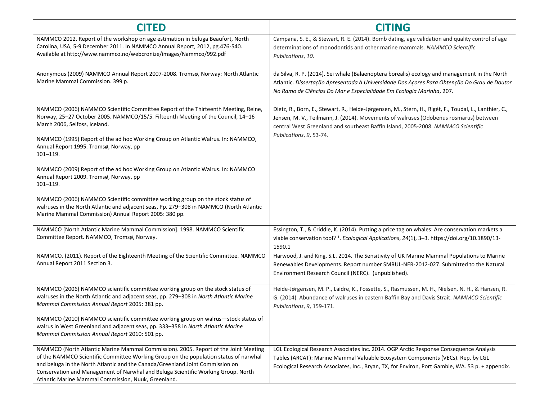| <b>CITED</b>                                                                                                                                                                                                                                                                                                                                                                                             | <b>CITING</b>                                                                                                                                                                                                                                                                       |
|----------------------------------------------------------------------------------------------------------------------------------------------------------------------------------------------------------------------------------------------------------------------------------------------------------------------------------------------------------------------------------------------------------|-------------------------------------------------------------------------------------------------------------------------------------------------------------------------------------------------------------------------------------------------------------------------------------|
| NAMMCO 2012. Report of the workshop on age estimation in beluga Beaufort, North<br>Carolina, USA, 5-9 December 2011. In NAMMCO Annual Report, 2012, pg.476-540.<br>Available at http://www.nammco.no/webcronize/images/Nammco/992.pdf                                                                                                                                                                    | Campana, S. E., & Stewart, R. E. (2014). Bomb dating, age validation and quality control of age<br>determinations of monodontids and other marine mammals. NAMMCO Scientific<br>Publications, 10.                                                                                   |
| Anonymous (2009) NAMMCO Annual Report 2007-2008. Tromsø, Norway: North Atlantic<br>Marine Mammal Commission. 399 p.                                                                                                                                                                                                                                                                                      | da Silva, R. P. (2014). Sei whale (Balaenoptera borealis) ecology and management in the North<br>Atlantic. Dissertação Apresentada à Universidade Dos Açores Para Obtenção Do Grau de Doutor<br>No Ramo de Ciências Do Mar e Especialidade Em Ecologia Marinha, 207.                |
| NAMMCO (2006) NAMMCO Scientific Committee Report of the Thirteenth Meeting, Reine,<br>Norway, 25-27 October 2005. NAMMCO/15/5. Fifteenth Meeting of the Council, 14-16<br>March 2006, Selfoss, Iceland.                                                                                                                                                                                                  | Dietz, R., Born, E., Stewart, R., Heide-Jørgensen, M., Stern, H., Rigét, F., Toudal, L., Lanthier, C.,<br>Jensen, M. V., Teilmann, J. (2014). Movements of walruses (Odobenus rosmarus) between<br>central West Greenland and southeast Baffin Island, 2005-2008. NAMMCO Scientific |
| NAMMCO (1995) Report of the ad hoc Working Group on Atlantic Walrus. In: NAMMCO,<br>Annual Report 1995. Tromsø, Norway, pp<br>$101 - 119.$                                                                                                                                                                                                                                                               | Publications, 9, 53-74.                                                                                                                                                                                                                                                             |
| NAMMCO (2009) Report of the ad hoc Working Group on Atlantic Walrus. In: NAMMCO<br>Annual Report 2009. Tromsø, Norway, pp<br>$101 - 119.$                                                                                                                                                                                                                                                                |                                                                                                                                                                                                                                                                                     |
| NAMMCO (2006) NAMMCO Scientific committee working group on the stock status of<br>walruses in the North Atlantic and adjacent seas, Pp. 279-308 in NAMMCO (North Atlantic<br>Marine Mammal Commission) Annual Report 2005: 380 pp.                                                                                                                                                                       |                                                                                                                                                                                                                                                                                     |
| NAMMCO [North Atlantic Marine Mammal Commission]. 1998. NAMMCO Scientific<br>Committee Report. NAMMCO, Tromsø, Norway.                                                                                                                                                                                                                                                                                   | Essington, T., & Criddle, K. (2014). Putting a price tag on whales: Are conservation markets a<br>viable conservation tool? <sup>1</sup> . Ecological Applications, 24(1), 3-3. https://doi.org/10.1890/13-<br>1590.1                                                               |
| NAMMCO. (2011). Report of the Eighteenth Meeting of the Scientific Committee. NAMMCO<br>Annual Report 2011 Section 3.                                                                                                                                                                                                                                                                                    | Harwood, J. and King, S.L. 2014. The Sensitivity of UK Marine Mammal Populations to Marine<br>Renewables Developments. Report number SMRUL-NER-2012-027. Submitted to the Natural<br>Environment Research Council (NERC). (unpublished).                                            |
| NAMMCO (2006) NAMMCO scientific committee working group on the stock status of<br>walruses in the North Atlantic and adjacent seas, pp. 279-308 in North Atlantic Marine<br>Mammal Commission Annual Report 2005: 381 pp.                                                                                                                                                                                | Heide-Jørgensen, M. P., Laidre, K., Fossette, S., Rasmussen, M. H., Nielsen, N. H., & Hansen, R.<br>G. (2014). Abundance of walruses in eastern Baffin Bay and Davis Strait. NAMMCO Scientific<br>Publications, 9, 159-171.                                                         |
| NAMMCO (2010) NAMMCO scientific committee working group on walrus-stock status of<br>walrus in West Greenland and adjacent seas, pp. 333-358 in North Atlantic Marine<br>Mammal Commission Annual Report 2010: 501 pp.                                                                                                                                                                                   |                                                                                                                                                                                                                                                                                     |
| NAMMCO (North Atlantic Marine Mammal Commission). 2005. Report of the Joint Meeting<br>of the NAMMCO Scientific Committee Working Group on the population status of narwhal<br>and beluga in the North Atlantic and the Canada/Greenland Joint Commission on<br>Conservation and Management of Narwhal and Beluga Scientific Working Group. North<br>Atlantic Marine Mammal Commission, Nuuk, Greenland. | LGL Ecological Research Associates Inc. 2014. OGP Arctic Response Consequence Analysis<br>Tables (ARCAT): Marine Mammal Valuable Ecosystem Components (VECs). Rep. by LGL<br>Ecological Research Associates, Inc., Bryan, TX, for Environ, Port Gamble, WA. 53 p. + appendix.       |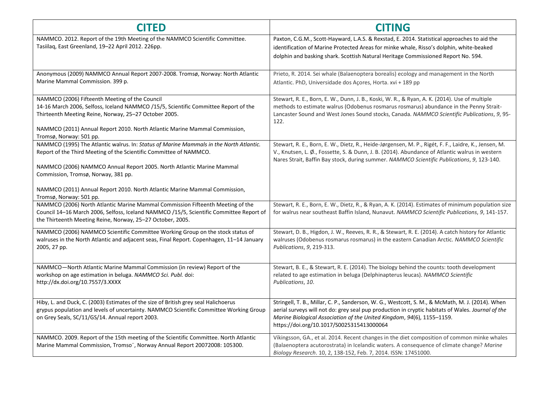| <b>CITED</b>                                                                                                                                                                                                                                                                                            | <b>CITING</b>                                                                                                                                                                                                                                                                                                                |
|---------------------------------------------------------------------------------------------------------------------------------------------------------------------------------------------------------------------------------------------------------------------------------------------------------|------------------------------------------------------------------------------------------------------------------------------------------------------------------------------------------------------------------------------------------------------------------------------------------------------------------------------|
| NAMMCO. 2012. Report of the 19th Meeting of the NAMMCO Scientific Committee.<br>Tasiilag, East Greenland, 19-22 April 2012. 226pp.                                                                                                                                                                      | Paxton, C.G.M., Scott-Hayward, L.A.S. & Rexstad, E. 2014. Statistical approaches to aid the<br>identification of Marine Protected Areas for minke whale, Risso's dolphin, white-beaked<br>dolphin and basking shark. Scottish Natural Heritage Commissioned Report No. 594.                                                  |
| Anonymous (2009) NAMMCO Annual Report 2007-2008. Tromsø, Norway: North Atlantic<br>Marine Mammal Commission. 399 p.                                                                                                                                                                                     | Prieto, R. 2014. Sei whale (Balaenoptera borealis) ecology and management in the North<br>Atlantic. PhD, Universidade dos Açores, Horta. xvi + 189 pp                                                                                                                                                                        |
| NAMMCO (2006) Fifteenth Meeting of the Council<br>14-16 March 2006, Selfoss, Iceland NAMMCO /15/5, Scientific Committee Report of the<br>Thirteenth Meeting Reine, Norway, 25-27 October 2005.<br>NAMMCO (2011) Annual Report 2010. North Atlantic Marine Mammal Commission,<br>Tromsø, Norway: 501 pp. | Stewart, R. E., Born, E. W., Dunn, J. B., Koski, W. R., & Ryan, A. K. (2014). Use of multiple<br>methods to estimate walrus (Odobenus rosmarus rosmarus) abundance in the Penny Strait-<br>Lancaster Sound and West Jones Sound stocks, Canada. NAMMCO Scientific Publications, 9, 95-<br>122.                               |
| NAMMCO (1995) The Atlantic walrus. In: Status of Marine Mammals in the North Atlantic.<br>Report of the Third Meeting of the Scientific Committee of NAMMCO.<br>NAMMCO (2006) NAMMCO Annual Report 2005. North Atlantic Marine Mammal<br>Commission, Tromsø, Norway, 381 pp.                            | Stewart, R. E., Born, E. W., Dietz, R., Heide-Jørgensen, M. P., Rigét, F. F., Laidre, K., Jensen, M.<br>V., Knutsen, L. Ø., Fossette, S. & Dunn, J. B. (2014). Abundance of Atlantic walrus in western<br>Nares Strait, Baffin Bay stock, during summer. NAMMCO Scientific Publications, 9, 123-140.                         |
| NAMMCO (2011) Annual Report 2010. North Atlantic Marine Mammal Commission,<br>Tromsø, Norway: 501 pp.                                                                                                                                                                                                   |                                                                                                                                                                                                                                                                                                                              |
| NAMMCO (2006) North Atlantic Marine Mammal Commission Fifteenth Meeting of the<br>Council 14-16 March 2006, Selfoss, Iceland NAMMCO /15/5, Scientific Committee Report of<br>the Thirteenth Meeting Reine, Norway, 25-27 October, 2005.                                                                 | Stewart, R. E., Born, E. W., Dietz, R., & Ryan, A. K. (2014). Estimates of minimum population size<br>for walrus near southeast Baffin Island, Nunavut. NAMMCO Scientific Publications, 9, 141-157.                                                                                                                          |
| NAMMCO (2006) NAMMCO Scientific Committee Working Group on the stock status of<br>walruses in the North Atlantic and adjacent seas, Final Report. Copenhagen, 11-14 January<br>2005, 27 pp.                                                                                                             | Stewart, D. B., Higdon, J. W., Reeves, R. R., & Stewart, R. E. (2014). A catch history for Atlantic<br>walruses (Odobenus rosmarus rosmarus) in the eastern Canadian Arctic. NAMMCO Scientific<br>Publications, 9, 219-313.                                                                                                  |
| NAMMCO-North Atlantic Marine Mammal Commission (in review) Report of the<br>workshop on age estimation in beluga. NAMMCO Sci. Publ. doi:<br>http://dx.doi.org/10.7557/3.XXXX                                                                                                                            | Stewart, B. E., & Stewart, R. E. (2014). The biology behind the counts: tooth development<br>related to age estimation in beluga (Delphinapterus leucas). NAMMCO Scientific<br>Publications, 10.                                                                                                                             |
| Hiby, L. and Duck, C. (2003) Estimates of the size of British grey seal Halichoerus<br>grypus population and levels of uncertainty. NAMMCO Scientific Committee Working Group<br>on Grey Seals, SC/11/GS/14. Annual report 2003.                                                                        | Stringell, T. B., Millar, C. P., Sanderson, W. G., Westcott, S. M., & McMath, M. J. (2014). When<br>aerial surveys will not do: grey seal pup production in cryptic habitats of Wales. Journal of the<br>Marine Biological Association of the United Kingdom, 94(6), 1155-1159.<br>https://doi.org/10.1017/S0025315413000064 |
| NAMMCO. 2009. Report of the 15th meeting of the Scientific Committee. North Atlantic<br>Marine Mammal Commission, Tromso", Norway Annual Report 20072008: 105300.                                                                                                                                       | Víkingsson, GA., et al. 2014. Recent changes in the diet composition of common minke whales<br>(Balaenoptera acutorostrata) in Icelandic waters. A consequence of climate change? Marine<br>Biology Research. 10, 2, 138-152, Feb. 7, 2014. ISSN: 17451000.                                                                  |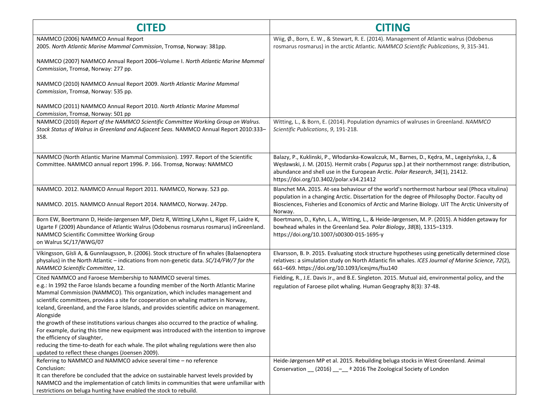| <b>CITED</b>                                                                                                                                                                                                                                                                                                                                                                                                              | <b>CITING</b>                                                                                                                                                                                                                                                                                                               |
|---------------------------------------------------------------------------------------------------------------------------------------------------------------------------------------------------------------------------------------------------------------------------------------------------------------------------------------------------------------------------------------------------------------------------|-----------------------------------------------------------------------------------------------------------------------------------------------------------------------------------------------------------------------------------------------------------------------------------------------------------------------------|
| NAMMCO (2006) NAMMCO Annual Report<br>2005. North Atlantic Marine Mammal Commission, Tromsø, Norway: 381pp.                                                                                                                                                                                                                                                                                                               | Wiig, Ø., Born, E. W., & Stewart, R. E. (2014). Management of Atlantic walrus (Odobenus<br>rosmarus rosmarus) in the arctic Atlantic. NAMMCO Scientific Publications, 9, 315-341.                                                                                                                                           |
| NAMMCO (2007) NAMMCO Annual Report 2006-Volume I. North Atlantic Marine Mammal<br>Commission, Tromsø, Norway: 277 pp.                                                                                                                                                                                                                                                                                                     |                                                                                                                                                                                                                                                                                                                             |
| NAMMCO (2010) NAMMCO Annual Report 2009. North Atlantic Marine Mammal<br>Commission, Tromsø, Norway: 535 pp.                                                                                                                                                                                                                                                                                                              |                                                                                                                                                                                                                                                                                                                             |
| NAMMCO (2011) NAMMCO Annual Report 2010. North Atlantic Marine Mammal<br>Commission, Tromsø, Norway: 501 pp                                                                                                                                                                                                                                                                                                               |                                                                                                                                                                                                                                                                                                                             |
| NAMMCO (2010) Report of the NAMMCO Scientific Committee Working Group on Walrus.<br>Stock Status of Walrus in Greenland and Adjacent Seas. NAMMCO Annual Report 2010:333-<br>358.                                                                                                                                                                                                                                         | Witting, L., & Born, E. (2014). Population dynamics of walruses in Greenland. NAMMCO<br>Scientific Publications, 9, 191-218.                                                                                                                                                                                                |
| NAMMCO (North Atlantic Marine Mammal Commission). 1997. Report of the Scientific<br>Committee. NAMMCO annual report 1996. P. 166. Tromsø, Norway: NAMMCO                                                                                                                                                                                                                                                                  | Balazy, P., Kuklinski, P., Włodarska-Kowalczuk, M., Barnes, D., Kędra, M., Legeżyńska, J., &<br>Węsławski, J. M. (2015). Hermit crabs (Pagurus spp.) at their northernmost range: distribution,<br>abundance and shell use in the European Arctic. Polar Research, 34(1), 21412.<br>https://doi.org/10.3402/polar.v34.21412 |
| NAMMCO. 2012. NAMMCO Annual Report 2011. NAMMCO, Norway. 523 pp.<br>NAMMCO. 2015. NAMMCO Annual Report 2014. NAMMCO, Norway. 247pp.                                                                                                                                                                                                                                                                                       | Blanchet MA. 2015. At-sea behaviour of the world's northermost harbour seal (Phoca vitulina)<br>population in a changing Arctic. Dissertation for the degree of Philosophy Doctor. Faculty od<br>Biosciences, Fisheries and Economics of Arctic and Marine Biology. UiT The Arctic University of<br>Norway.                 |
| Born EW, Boertmann D, Heide-Jørgensen MP, Dietz R, Witting L, Kyhn L, Riget FF, Laidre K,<br>Ugarte F (2009) Abundance of Atlantic Walrus (Odobenus rosmarus rosmarus) inGreenland.<br>NAMMCO Scientific Committee Working Group<br>on Walrus SC/17/WWG/07                                                                                                                                                                | Boertmann, D., Kyhn, L. A., Witting, L., & Heide-Jørgensen, M. P. (2015). A hidden getaway for<br>bowhead whales in the Greenland Sea. Polar Biology, 38(8), 1315-1319.<br>https://doi.org/10.1007/s00300-015-1695-y                                                                                                        |
| Víkingsson, Gísli A, & Gunnlaugsson, Þ. (2006). Stock structure of fin whales (Balaenoptera<br>physalus) in the North Atlantic - indications from non-genetic data. SC/14/FW/7 for the<br>NAMMCO Scientific Committee, 12.                                                                                                                                                                                                | Elvarsson, B. Þ. 2015. Evaluating stock structure hypotheses using genetically determined close<br>relatives: a simulation study on North Atlantic fin whales. ICES Journal of Marine Science, 72(2),<br>661-669. https://doi.org/10.1093/icesjms/fsu140                                                                    |
| Cited NAMMCO and Faroese Membership to NAMMCO several times.<br>e.g.: In 1992 the Faroe Islands became a founding member of the North Atlantic Marine<br>Mammal Commission (NAMMCO). This organization, which includes management and<br>scientific committees, provides a site for cooperation on whaling matters in Norway,<br>Iceland, Greenland, and the Faroe Islands, and provides scientific advice on management. | Fielding, R., J.E. Davis Jr., and B.E. Singleton. 2015. Mutual aid, environmental policy, and the<br>regulation of Faroese pilot whaling. Human Geography 8(3): 37-48.                                                                                                                                                      |
| Alongside<br>the growth of these institutions various changes also occurred to the practice of whaling.<br>For example, during this time new equipment was introduced with the intention to improve<br>the efficiency of slaughter,<br>reducing the time-to-death for each whale. The pilot whaling regulations were then also<br>updated to reflect these changes (Joensen 2009).                                        |                                                                                                                                                                                                                                                                                                                             |
| Referring to NAMMCO and NAMMCO advice several time - no reference<br>Conclusion:<br>It can therefore be concluded that the advice on sustainable harvest levels provided by<br>NAMMCO and the implementation of catch limits in communities that were unfamiliar with<br>restrictions on beluga hunting have enabled the stock to rebuild.                                                                                | Heide-Jørgensen MP et al. 2015. Rebuilding beluga stocks in West Greenland. Animal<br>Conservation __ (2016) _ - _ ª 2016 The Zoological Society of London                                                                                                                                                                  |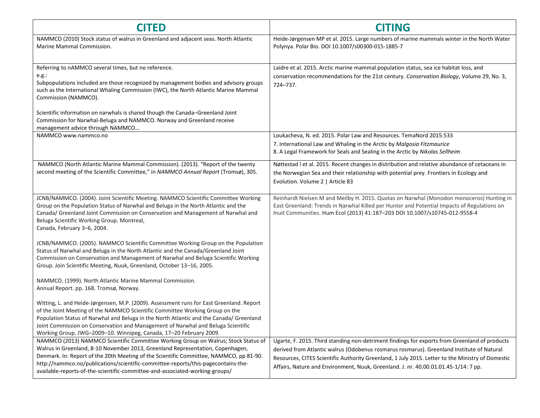| <b>CITED</b>                                                                                                                                                                                                                                                                                                                                                                                                                                                           | <b>CITING</b>                                                                                                                                                                                                                                                                                                                                                                         |
|------------------------------------------------------------------------------------------------------------------------------------------------------------------------------------------------------------------------------------------------------------------------------------------------------------------------------------------------------------------------------------------------------------------------------------------------------------------------|---------------------------------------------------------------------------------------------------------------------------------------------------------------------------------------------------------------------------------------------------------------------------------------------------------------------------------------------------------------------------------------|
| NAMMCO (2010) Stock status of walrus in Greenland and adjacent seas. North Atlantic<br>Marine Mammal Commission.                                                                                                                                                                                                                                                                                                                                                       | Heide-Jørgensen MP et al. 2015. Large numbers of marine mammals winter in the North Water<br>Polynya. Polar Bio. DOI 10.1007/s00300-015-1885-7                                                                                                                                                                                                                                        |
| Referring to nAMMCO several times, but no reference.<br>e.g.:<br>Subpopulations included are those recognized by management bodies and advisory groups<br>such as the International Whaling Commission (IWC), the North Atlantic Marine Mammal<br>Commission (NAMMCO).<br>Scientific information on narwhals is shared though the Canada-Greenland Joint<br>Commission for Narwhal-Beluga and NAMMCO. Norway and Greenland receive<br>management advice through NAMMCO | Laidre et al. 2015. Arctic marine mammal population status, sea ice habitat loss, and<br>conservation recommendations for the 21st century. Conservation Biology, Volume 29, No. 3,<br>724-737.                                                                                                                                                                                       |
| NAMMCO www.nammco.no                                                                                                                                                                                                                                                                                                                                                                                                                                                   | Loukacheva, N. ed. 2015. Polar Law and Resources. TemaNord 2015:533<br>7. International Law and Whaling in the Arctic by Malgosia Fitzmaurice<br>8. A Legal Framework for Seals and Sealing in the Arctic by Nikolas Sellheim                                                                                                                                                         |
| NAMMCO (North Atlantic Marine Mammal Commission). (2013). "Report of the twenty<br>second meeting of the Scientific Committee," in NAMMCO Annual Report (Tromsø), 305.                                                                                                                                                                                                                                                                                                 | Nøttestad I et al. 2015. Recent changes in distribution and relative abundance of cetaceans in<br>the Norwegian Sea and their relationship with potential prey. Frontiers in Ecology and<br>Evolution. Volume 2   Article 83                                                                                                                                                          |
| JCNB/NAMMCO. (2004). Joint Scientific Meeting. NAMMCO Scientific Committee Working<br>Group on the Population Status of Narwhal and Beluga in the North Atlantic and the<br>Canada/ Greenland Joint Commission on Conservation and Management of Narwhal and<br>Beluga Scientific Working Group. Montreal,<br>Canada, February 3-6, 2004.                                                                                                                              | Reinhardt Nielsen M and Meilby H. 2015. Quotas on Narwhal (Monodon monoceros) Hunting in<br>East Greenland: Trends in Narwhal Killed per Hunter and Potential Impacts of Regulations on<br>Inuit Communities. Hum Ecol (2013) 41:187-203 DOI 10.1007/s10745-012-9558-4                                                                                                                |
| JCNB/NAMMCO. (2005). NAMMCO Scientific Committee Working Group on the Population<br>Status of Narwhal and Beluga in the North Atlantic and the Canada/Greenland Joint<br>Commission on Conservation and Management of Narwhal and Beluga Scientific Working<br>Group. Join Scientific Meeting, Nuuk, Greenland, October 13-16, 2005.                                                                                                                                   |                                                                                                                                                                                                                                                                                                                                                                                       |
| NAMMCO. (1999). North Atlantic Marine Mammal Commission.<br>Annual Report. pp. 168. Tromsø, Norway.                                                                                                                                                                                                                                                                                                                                                                    |                                                                                                                                                                                                                                                                                                                                                                                       |
| Witting, L. and Heide-Jørgensen, M.P. (2009). Assessment runs for East Greenland. Report<br>of the Joint Meeting of the NAMMCO Scientific Committee Working Group on the<br>Population Status of Narwhal and Beluga in the North Atlantic and the Canada/ Greenland<br>Joint Commission on Conservation and Management of Narwhal and Beluga Scientific<br>Working Group. JWG-2009-10. Winnipeg, Canada, 17-20 February 2009.                                          |                                                                                                                                                                                                                                                                                                                                                                                       |
| NAMMCO (2013) NAMMCO Scientific Committee Working Group on Walrus; Stock Status of<br>Walrus in Greenland, 8-10 November 2013, Greenland Representation, Copenhagen,<br>Denmark. In: Report of the 20th Meeting of the Scientific Committee, NAMMCO, pp 81-90.<br>http://nammco.no/publications/scientific-committee-reports/this-pagecontains-the-<br>available-reports-of-the-scientific-committee-and-associated-working-groups/                                    | Ugarte, F. 2015. Third standing non-detriment findings for exports from Greenland of products<br>derived from Atlantic walrus (Odobenus rosmarus rosmarus). Greenland Institute of Natural<br>Resources, CITES Scientific Authority Greenland, 1 July 2015. Letter to the Ministry of Domestic<br>Affairs, Nature and Environment, Nuuk, Greenland. J. nr. 40.00.01.01.45-1/14: 7 pp. |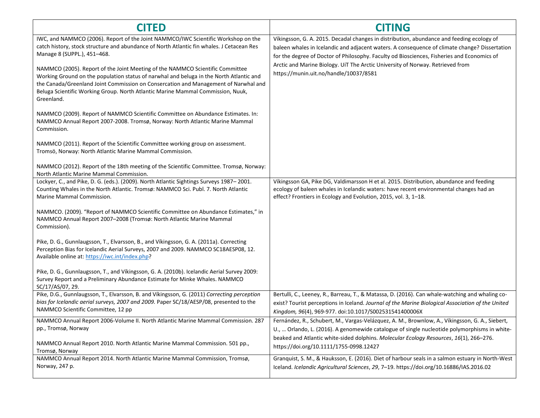| <b>CITED</b>                                                                                                                                                                                                                                                                                                                                                     | <b>CITING</b>                                                                                                                                                                                                                                                                            |
|------------------------------------------------------------------------------------------------------------------------------------------------------------------------------------------------------------------------------------------------------------------------------------------------------------------------------------------------------------------|------------------------------------------------------------------------------------------------------------------------------------------------------------------------------------------------------------------------------------------------------------------------------------------|
| IWC, and NAMMCO (2006). Report of the Joint NAMMCO/IWC Scientific Workshop on the<br>catch history, stock structure and abundance of North Atlantic fin whales. J Cetacean Res<br>Manage 8 (SUPPL.), 451-468.                                                                                                                                                    | Víkingsson, G. A. 2015. Decadal changes in distribution, abundance and feeding ecology of<br>baleen whales in Icelandic and adjacent waters. A consequence of climate change? Dissertation<br>for the degree of Doctor of Philosophy. Faculty od Biosciences, Fisheries and Economics of |
| NAMMCO (2005). Report of the Joint Meeting of the NAMMCO Scientific Committee<br>Working Ground on the population status of narwhal and beluga in the North Atlantic and<br>the Canada/Greenland Joint Commission on Consercation and Management of Narwhal and<br>Beluga Scientific Working Group. North Atlantic Marine Mammal Commission, Nuuk,<br>Greenland. | Arctic and Marine Biology. UiT The Arctic University of Norway. Retrieved from<br>https://munin.uit.no/handle/10037/8581                                                                                                                                                                 |
| NAMMCO (2009). Report of NAMMCO Scientific Committee on Abundance Estimates. In:<br>NAMMCO Annual Report 2007-2008. Tromsø, Norway: North Atlantic Marine Mammal<br>Commission.                                                                                                                                                                                  |                                                                                                                                                                                                                                                                                          |
| NAMMCO (2011). Report of the Scientific Committee working group on assessment.<br>Tromsö, Norway: North Atlantic Marine Mammal Commission.                                                                                                                                                                                                                       |                                                                                                                                                                                                                                                                                          |
| NAMMCO (2012). Report of the 18th meeting of the Scientific Committee. Tromsø, Norway:<br>North Atlantic Marine Mammal Commission.                                                                                                                                                                                                                               |                                                                                                                                                                                                                                                                                          |
| Lockyer, C., and Pike, D. G. (eds.). (2009). North Atlantic Sightings Surveys 1987–2001.<br>Counting Whales in the North Atlantic. Tromsø: NAMMCO Sci. Publ. 7. North Atlantic<br>Marine Mammal Commission.                                                                                                                                                      | Víkingsson GA, Pike DG, Valdimarsson H et al. 2015. Distribution, abundance and feeding<br>ecology of baleen whales in Icelandic waters: have recent environmental changes had an<br>effect? Frontiers in Ecology and Evolution, 2015, vol. 3, 1-18.                                     |
| NAMMCO. (2009). "Report of NAMMCO Scientific Committee on Abundance Estimates," in<br>NAMMCO Annual Report 2007-2008 (Tromsø: North Atlantic Marine Mammal<br>Commission).                                                                                                                                                                                       |                                                                                                                                                                                                                                                                                          |
| Pike, D. G., Gunnlaugsson, T., Elvarsson, B., and Víkingsson, G. A. (2011a). Correcting<br>Perception Bias for Icelandic Aerial Surveys, 2007 and 2009. NAMMCO SC18AESP08, 12.<br>Available online at: https://iwc.int/index.php?                                                                                                                                |                                                                                                                                                                                                                                                                                          |
| Pike, D. G., Gunnlaugsson, T., and Víkingsson, G. A. (2010b). Icelandic Aerial Survey 2009:<br>Survey Report and a Preliminary Abundance Estimate for Minke Whales. NAMMCO<br>SC/17/AS/07, 29.                                                                                                                                                                   |                                                                                                                                                                                                                                                                                          |
| Pike, D.G., Gunnlaugsson, T., Elvarsson, B. and Víkingsson, G. (2011) Correcting perception<br>bias for Icelandic aerial surveys, 2007 and 2009. Paper SC/18/AESP/08, presented to the<br>NAMMCO Scientific Committee, 12 pp                                                                                                                                     | Bertulli, C., Leeney, R., Barreau, T., & Matassa, D. (2016). Can whale-watching and whaling co-<br>exist? Tourist perceptions in Iceland. Journal of the Marine Biological Association of the United<br>Kingdom, 96(4), 969-977. doi:10.1017/S002531541400006X                           |
| NAMMCO Annual Report 2006-Volume II. North Atlantic Marine Mammal Commission. 287<br>pp., Tromsø, Norway                                                                                                                                                                                                                                                         | Fernández, R., Schubert, M., Vargas-Velázquez, A. M., Brownlow, A., Víkingsson, G. A., Siebert,<br>U.,  Orlando, L. (2016). A genomewide catalogue of single nucleotide polymorphisms in white-                                                                                          |
| NAMMCO Annual Report 2010. North Atlantic Marine Mammal Commission. 501 pp.,<br>Tromsø, Norway                                                                                                                                                                                                                                                                   | beaked and Atlantic white-sided dolphins. Molecular Ecology Resources, 16(1), 266-276.<br>https://doi.org/10.1111/1755-0998.12427                                                                                                                                                        |
| NAMMCO Annual Report 2014. North Atlantic Marine Mammal Commission, Tromsø,<br>Norway, 247 p.                                                                                                                                                                                                                                                                    | Granquist, S. M., & Hauksson, E. (2016). Diet of harbour seals in a salmon estuary in North-West                                                                                                                                                                                         |
|                                                                                                                                                                                                                                                                                                                                                                  | Iceland. Icelandic Agricultural Sciences, 29, 7-19. https://doi.org/10.16886/IAS.2016.02                                                                                                                                                                                                 |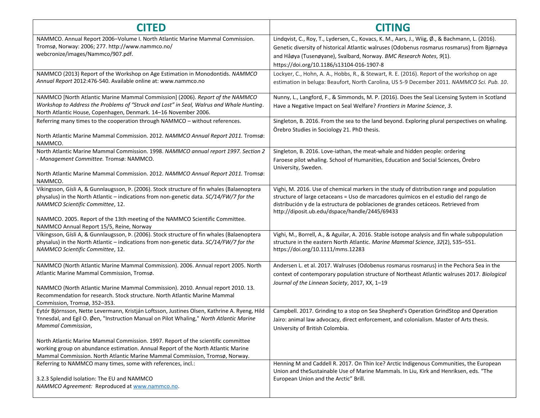| <b>CITED</b>                                                                                                                                                                                                                                                                                                                                           | <b>CITING</b>                                                                                                                                                                                                                                                                                                             |
|--------------------------------------------------------------------------------------------------------------------------------------------------------------------------------------------------------------------------------------------------------------------------------------------------------------------------------------------------------|---------------------------------------------------------------------------------------------------------------------------------------------------------------------------------------------------------------------------------------------------------------------------------------------------------------------------|
| NAMMCO. Annual Report 2006-Volume I. North Atlantic Marine Mammal Commission.<br>Tromsø, Norway: 2006; 277. http://www.nammco.no/<br>webcronize/images/Nammco/907.pdf.                                                                                                                                                                                 | Lindqvist, C., Roy, T., Lydersen, C., Kovacs, K. M., Aars, J., Wiig, Ø., & Bachmann, L. (2016).<br>Genetic diversity of historical Atlantic walruses (Odobenus rosmarus rosmarus) from Bjørnøya<br>and Håøya (Tusenøyane), Svalbard, Norway. BMC Research Notes, 9(1).<br>https://doi.org/10.1186/s13104-016-1907-8       |
| NAMMCO (2013) Report of the Workshop on Age Estimation in Monodontids. NAMMCO<br>Annual Report 2012:476-540. Available online at: www.nammco.no                                                                                                                                                                                                        | Lockyer, C., Hohn, A. A., Hobbs, R., & Stewart, R. E. (2016). Report of the workshop on age<br>estimation in beluga: Beaufort, North Carolina, US 5-9 December 2011. NAMMCO Sci. Pub. 10.                                                                                                                                 |
| NAMMCO [North Atlantic Marine Mammal Commission] (2006). Report of the NAMMCO<br>Workshop to Address the Problems of "Struck and Lost" in Seal, Walrus and Whale Hunting.<br>North Atlantic House, Copenhagen, Denmark. 14-16 November 2006.                                                                                                           | Nunny, L., Langford, F., & Simmonds, M. P. (2016). Does the Seal Licensing System in Scotland<br>Have a Negative Impact on Seal Welfare? Frontiers in Marine Science, 3.                                                                                                                                                  |
| Referring many times to the cooperation through NAMMCO - without references.<br>North Atlantic Marine Mammal Commission. 2012. NAMMCO Annual Report 2011. Tromsø:<br>NAMMCO.                                                                                                                                                                           | Singleton, B. 2016. From the sea to the land beyond. Exploring plural perspectives on whaling.<br>Örebro Studies in Sociology 21. PhD thesis.                                                                                                                                                                             |
| North Atlantic Marine Mammal Commission. 1998. NAMMCO annual report 1997. Section 2<br>- Management Committee. Tromsø: NAMMCO.<br>North Atlantic Marine Mammal Commission. 2012. NAMMCO Annual Report 2011. Tromsø:<br>NAMMCO.                                                                                                                         | Singleton, B. 2016. Love-iathan, the meat-whale and hidden people: ordering<br>Faroese pilot whaling. School of Humanities, Education and Social Sciences, Örebro<br>University, Sweden.                                                                                                                                  |
| Víkingsson, Gísli A, & Gunnlaugsson, P. (2006). Stock structure of fin whales (Balaenoptera<br>physalus) in the North Atlantic - indications from non-genetic data. SC/14/FW/7 for the<br>NAMMCO Scientific Committee, 12.<br>NAMMCO. 2005. Report of the 13th meeting of the NAMMCO Scientific Committee.<br>NAMMCO Annual Report 15/5, Reine, Norway | Vighi, M. 2016. Use of chemical markers in the study of distribution range and population<br>structure of large cetaceans = Uso de marcadores químicos en el estudio del rango de<br>distribución y de la estructura de poblaciones de grandes cetáceos. Retrieved from<br>http://diposit.ub.edu/dspace/handle/2445/69433 |
| Víkingsson, Gísli A, & Gunnlaugsson, P. (2006). Stock structure of fin whales (Balaenoptera<br>physalus) in the North Atlantic - indications from non-genetic data. SC/14/FW/7 for the<br>NAMMCO Scientific Committee, 12.                                                                                                                             | Vighi, M., Borrell, A., & Aguilar, A. 2016. Stable isotope analysis and fin whale subpopulation<br>structure in the eastern North Atlantic. Marine Mammal Science, 32(2), 535-551.<br>https://doi.org/10.1111/mms.12283                                                                                                   |
| NAMMCO (North Atlantic Marine Mammal Commission). 2006. Annual report 2005. North<br>Atlantic Marine Mammal Commission, Tromsø.<br>NAMMCO (North Atlantic Marine Mammal Commission). 2010. Annual report 2010. 13.<br>Recommendation for research. Stock structure. North Atlantic Marine Mammal<br>Commission, Tromsø, 352-353.                       | Andersen L. et al. 2017. Walruses (Odobenus rosmarus rosmarus) in the Pechora Sea in the<br>context of contemporary population structure of Northeast Atlantic walruses 2017. Biological<br>Journal of the Linnean Society, 2017, XX, 1-19                                                                                |
| Eytór Björnsson, Nette Levermann, Kristján Loftsson, Justines Olsen, Kathrine A. Ryeng, Hild<br>Ynnesdal, and Egil O. Øen, "Instruction Manual on Pilot Whaling," North Atlantic Marine<br>Mammal Commission,                                                                                                                                          | Campbell. 2017. Grinding to a stop on Sea Shepherd's Operation GrindStop and Operation<br>Jairo: animal law advocacy, direct enforcement, and colonialism. Master of Arts thesis.<br>University of British Colombia.                                                                                                      |
| North Atlantic Marine Mammal Commission. 1997. Report of the scientific committee<br>working group on abundance estimation. Annual Report of the North Atlantic Marine<br>Mammal Commission. North Atlantic Marine Mammal Commission, Tromsø, Norway.                                                                                                  |                                                                                                                                                                                                                                                                                                                           |
| Referring to NAMMCO many times, some with references, incl.:<br>3.2.3 Splendid Isolation: The EU and NAMMCO<br>NAMMCO Agreement: Reproduced at www.nammco.no.                                                                                                                                                                                          | Henning M and Caddell R. 2017. On Thin Ice? Arctic Indigenous Communities, the European<br>Union and the Sustainable Use of Marine Mammals. In Liu, Kirk and Henriksen, eds. "The<br>European Union and the Arctic" Brill.                                                                                                |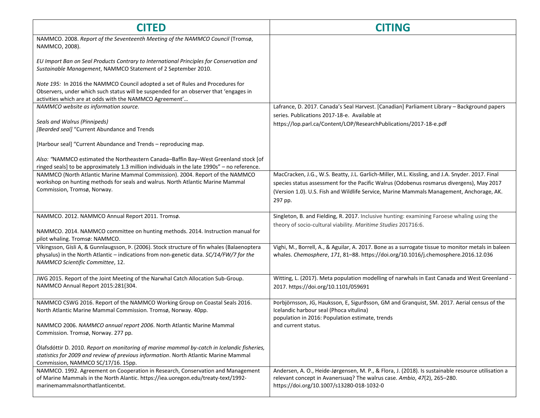| <b>CITED</b>                                                                                                                                                                                                                       | <b>CITING</b>                                                                                                                                                                                                                                                                                      |
|------------------------------------------------------------------------------------------------------------------------------------------------------------------------------------------------------------------------------------|----------------------------------------------------------------------------------------------------------------------------------------------------------------------------------------------------------------------------------------------------------------------------------------------------|
| NAMMCO. 2008. Report of the Seventeenth Meeting of the NAMMCO Council (Tromsø,<br>NAMMCO, 2008).                                                                                                                                   |                                                                                                                                                                                                                                                                                                    |
| EU Import Ban on Seal Products Contrary to International Principles for Conservation and<br>Sustainable Management, NAMMCO Statement of 2 September 2010.                                                                          |                                                                                                                                                                                                                                                                                                    |
| Note 195: In 2016 the NAMMCO Council adopted a set of Rules and Procedures for<br>Observers, under which such status will be suspended for an observer that 'engages in<br>activities which are at odds with the NAMMCO Agreement' |                                                                                                                                                                                                                                                                                                    |
| NAMMCO website as information source.                                                                                                                                                                                              | Lafrance, D. 2017. Canada's Seal Harvest. [Canadian] Parliament Library - Background papers                                                                                                                                                                                                        |
| Seals and Walrus (Pinnipeds)<br>[Bearded seal] "Current Abundance and Trends                                                                                                                                                       | series. Publications 2017-18-e. Available at<br>https://lop.parl.ca/Content/LOP/ResearchPublications/2017-18-e.pdf                                                                                                                                                                                 |
| [Harbour seal] "Current Abundance and Trends - reproducing map.                                                                                                                                                                    |                                                                                                                                                                                                                                                                                                    |
| Also: "NAMMCO estimated the Northeastern Canada-Baffin Bay-West Greenland stock [of<br>ringed seals] to be approximately 1.3 million individuals in the late 1990s" - no reference.                                                |                                                                                                                                                                                                                                                                                                    |
| NAMMCO (North Atlantic Marine Mammal Commission). 2004. Report of the NAMMCO<br>workshop on hunting methods for seals and walrus. North Atlantic Marine Mammal<br>Commission, Tromsø, Norway.                                      | MacCracken, J.G., W.S. Beatty, J.L. Garlich-Miller, M.L. Kissling, and J.A. Snyder. 2017. Final<br>species status assessment for the Pacific Walrus (Odobenus rosmarus divergens), May 2017<br>(Version 1.0). U.S. Fish and Wildlife Service, Marine Mammals Management, Anchorage, AK.<br>297 pp. |
| NAMMCO. 2012. NAMMCO Annual Report 2011. Tromsø.<br>NAMMCO. 2014. NAMMCO committee on hunting methods. 2014. Instruction manual for                                                                                                | Singleton, B. and Fielding, R. 2017. Inclusive hunting: examining Faroese whaling using the<br>theory of socio-cultural viability. Maritime Studies 201716:6.                                                                                                                                      |
| pilot whaling. Tromsø: NAMMCO.                                                                                                                                                                                                     |                                                                                                                                                                                                                                                                                                    |
| Víkingsson, Gísli A, & Gunnlaugsson, P. (2006). Stock structure of fin whales (Balaenoptera<br>physalus) in the North Atlantic - indications from non-genetic data. SC/14/FW/7 for the<br>NAMMCO Scientific Committee, 12.         | Vighi, M., Borrell, A., & Aguilar, A. 2017. Bone as a surrogate tissue to monitor metals in baleen<br>whales. Chemosphere, 171, 81-88. https://doi.org/10.1016/j.chemosphere.2016.12.036                                                                                                           |
| JWG 2015. Report of the Joint Meeting of the Narwhal Catch Allocation Sub-Group.<br>NAMMCO Annual Report 2015:281{304.                                                                                                             | Witting, L. (2017). Meta population modelling of narwhals in East Canada and West Greenland -<br>2017. https://doi.org/10.1101/059691                                                                                                                                                              |
| NAMMCO CSWG 2016. Report of the NAMMCO Working Group on Coastal Seals 2016.<br>North Atlantic Marine Mammal Commission. Tromsø, Norway. 40pp.                                                                                      | Þorbjörnsson, JG, Hauksson, E, Sigurðsson, GM and Granquist, SM. 2017. Aerial census of the<br>Icelandic harbour seal (Phoca vitulina)                                                                                                                                                             |
| NAMMCO 2006. NAMMCO annual report 2006. North Atlantic Marine Mammal<br>Commission. Tromsø, Norway. 277 pp.                                                                                                                        | population in 2016: Population estimate, trends<br>and current status.                                                                                                                                                                                                                             |
| Ólafsdóttir D. 2010. Report on monitoring of marine mammal by-catch in Icelandic fisheries,<br>statistics for 2009 and review of previous information. North Atlantic Marine Mammal<br>Commission, NAMMCO SC/17/16. 15pp.          |                                                                                                                                                                                                                                                                                                    |
| NAMMCO. 1992. Agreement on Cooperation in Research, Conservation and Management<br>of Marine Mammals in the North Alantic. https://iea.uoregon.edu/treaty-text/1992-<br>marinemammalsnorthatlanticentxt.                           | Andersen, A. O., Heide-Jørgensen, M. P., & Flora, J. (2018). Is sustainable resource utilisation a<br>relevant concept in Avanersuaq? The walrus case. Ambio, 47(2), 265-280.<br>https://doi.org/10.1007/s13280-018-1032-0                                                                         |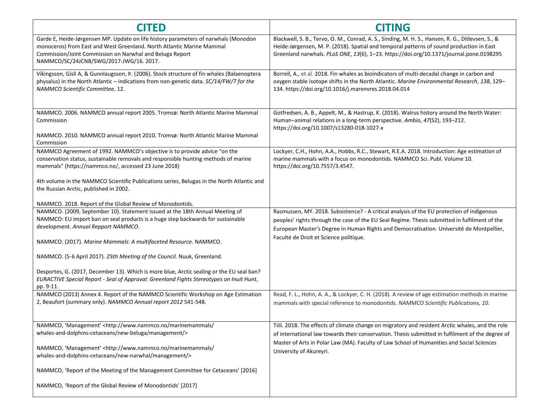| <b>CITED</b>                                                                                                                                                                                                                                                                     | <b>CITING</b>                                                                                                                                                                                                                                                                                                                     |
|----------------------------------------------------------------------------------------------------------------------------------------------------------------------------------------------------------------------------------------------------------------------------------|-----------------------------------------------------------------------------------------------------------------------------------------------------------------------------------------------------------------------------------------------------------------------------------------------------------------------------------|
| Garde E, Heide-Jørgensen MP. Update on life history parameters of narwhals (Monodon<br>monoceros) from East and West Greenland. North Atlantic Marine Mammal<br>Commission/Joint Commission on Narwhal and Beluga Report<br>NAMMCO/SC/24JCNB/SWG/2017-JWG/16. 2017.              | Blackwell, S. B., Tervo, O. M., Conrad, A. S., Sinding, M. H. S., Hansen, R. G., Ditlevsen, S., &<br>Heide-Jørgensen, M. P. (2018). Spatial and temporal patterns of sound production in East<br>Greenland narwhals. PLoS ONE, 13(6), 1-23. https://doi.org/10.1371/journal.pone.0198295                                          |
| Víkingsson, Gísli A, & Gunnlaugsson, P. (2006). Stock structure of fin whales (Balaenoptera<br>physalus) in the North Atlantic - indications from non-genetic data. SC/14/FW/7 for the<br>NAMMCO Scientific Committee, 12.                                                       | Borrell, A., et al. 2018. Fin whales as bioindicators of multi-decadal change in carbon and<br>oxygen stable isotope shifts in the North Atlantic. Marine Environmental Research, 138, 129-<br>134. https://doi.org/10.1016/j.marenvres.2018.04.014                                                                               |
| NAMMCO. 2006. NAMMCO annual report 2005. Tromsø: North Atlantic Marine Mammal<br>Commission<br>NAMMCO. 2010. NAMMCO annual report 2010. Tromsø: North Atlantic Marine Mammal                                                                                                     | Gotfredsen, A. B., Appelt, M., & Hastrup, K. (2018). Walrus history around the North Water:<br>Human-animal relations in a long-term perspective. Ambio, 47(S2), 193-212.<br>https://doi.org/10.1007/s13280-018-1027-x                                                                                                            |
| Commission                                                                                                                                                                                                                                                                       |                                                                                                                                                                                                                                                                                                                                   |
| NAMMCO Agreement of 1992. NAMMCO's objective is to provide advice "on the<br>conservation status, sustainable removals and responsible hunting methods of marine<br>mammals" (https://nammco.no/, accessed 23 June 2018)                                                         | Lockyer, C.H., Hohn, A.A., Hobbs, R.C., Stewart, R.E.A. 2018. Introduction: Age estimation of<br>marine mammals with a focus on monodontids. NAMMCO Sci. Publ. Volume 10.<br>https://doi.org/10.7557/3.4547.                                                                                                                      |
| 4th volume in the NAMMCO Scientific Publications series, Belugas in the North Atlantic and<br>the Russian Arctic, published in 2002.                                                                                                                                             |                                                                                                                                                                                                                                                                                                                                   |
| NAMMCO. 2018. Report of the Global Review of Monodontids.                                                                                                                                                                                                                        |                                                                                                                                                                                                                                                                                                                                   |
| NAMMCO. (2009, September 10). Statement issued at the 18th Annual Meeting of<br>NAMMCO: EU import ban on seal products is a huge step backwards for sustainable<br>development. Annual Repport NAMMCO.<br>NAMMCO. (2017). Marine Mammals: A multifaceted Resource. NAMMCO.       | Rasmussen, MY. 2018. Subsistence? - A critical analysis of the EU protection of indigenous<br>peoples' rights through the case of the EU Seal Regime. Thesis submitted in fulfilment of the<br>European Master's Degree in Human Rights and Democratisation. Université de Montpellier,<br>Faculté de Droit et Science politique. |
| NAMMCO. (5-6 April 2017). 25th Meeting of the Council. Nuuk, Greenland.                                                                                                                                                                                                          |                                                                                                                                                                                                                                                                                                                                   |
| Desportes, G. (2017, December 13). Which is more blue, Arctic sealing or the EU seal ban?<br>EURACTIVE Special Report - Seal of Approval: Greenland Fights Stereotypes on Inuit Hunt,<br>pp. 9-11.                                                                               |                                                                                                                                                                                                                                                                                                                                   |
| NAMMCO (2013) Annex 4. Report of the NAMMCO Scientific Workshop on Age Estimation<br>2, Beaufort (summary only). NAMMCO Annual report 2012 541-548.                                                                                                                              | Read, F. L., Hohn, A. A., & Lockyer, C. H. (2018). A review of age estimation methods in marine<br>mammals with special reference to monodontids. NAMMCO Scientific Publications, 10.                                                                                                                                             |
| NAMMCO, 'Management' <http: <br="" marinemammals="" www.nammco.no="">whales-and-dolphins-cetaceans/new-beluga/management/&gt;<br/>NAMMCO, 'Management' <http: <br="" marinemammals="" www.nammco.no="">whales-and-dolphins-cetaceans/new-narwhal/management/&gt;</http:></http:> | Tiili. 2018. The effects of climate change on migratory and resident Arctic whales, and the role<br>of international law towards their conservation. Thesis submitted in fulfilment of the degree of<br>Master of Arts in Polar Law (MA). Faculty of Law School of Humanities and Social Sciences<br>University of Akureyri.      |
| NAMMCO, 'Report of the Meeting of the Management Committee for Cetaceans' [2016]                                                                                                                                                                                                 |                                                                                                                                                                                                                                                                                                                                   |
| NAMMCO, 'Report of the Global Review of Monodontids' [2017]                                                                                                                                                                                                                      |                                                                                                                                                                                                                                                                                                                                   |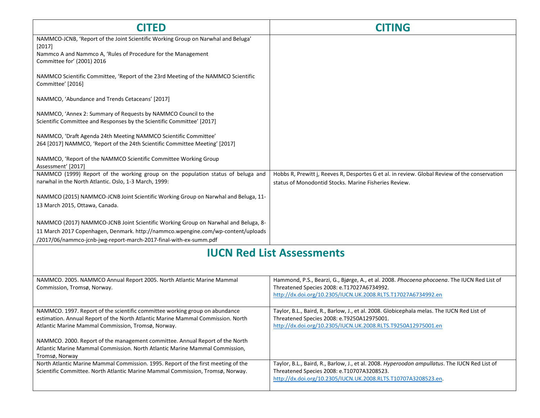| <b>CITED</b>                                                                                                                                                                  | <b>CITING</b>                                                                                                                                                                                                 |
|-------------------------------------------------------------------------------------------------------------------------------------------------------------------------------|---------------------------------------------------------------------------------------------------------------------------------------------------------------------------------------------------------------|
| NAMMCO-JCNB, 'Report of the Joint Scientific Working Group on Narwhal and Beluga'<br>[2017]                                                                                   |                                                                                                                                                                                                               |
| Nammco A and Nammco A, 'Rules of Procedure for the Management<br>Committee for' (2001) 2016                                                                                   |                                                                                                                                                                                                               |
| NAMMCO Scientific Committee, 'Report of the 23rd Meeting of the NAMMCO Scientific<br>Committee' [2016]                                                                        |                                                                                                                                                                                                               |
| NAMMCO, 'Abundance and Trends Cetaceans' [2017]                                                                                                                               |                                                                                                                                                                                                               |
| NAMMCO, 'Annex 2: Summary of Requests by NAMMCO Council to the<br>Scientific Committee and Responses by the Scientific Committee' [2017]                                      |                                                                                                                                                                                                               |
| NAMMCO, 'Draft Agenda 24th Meeting NAMMCO Scientific Committee'<br>264 [2017] NAMMCO, 'Report of the 24th Scientific Committee Meeting' [2017]                                |                                                                                                                                                                                                               |
| NAMMCO, 'Report of the NAMMCO Scientific Committee Working Group<br>Assessment' [2017]                                                                                        |                                                                                                                                                                                                               |
| NAMMCO (1999) Report of the working group on the population status of beluga and<br>narwhal in the North Atlantic. Oslo, 1-3 March, 1999:                                     | Hobbs R, Prewitt j, Reeves R, Desportes G et al. in review. Global Review of the conservation<br>status of Monodontid Stocks. Marine Fisheries Review.                                                        |
| NAMMCO (2015) NAMMCO-JCNB Joint Scientific Working Group on Narwhal and Beluga, 11-<br>13 March 2015, Ottawa, Canada.                                                         |                                                                                                                                                                                                               |
| NAMMCO (2017) NAMMCO-JCNB Joint Scientific Working Group on Narwhal and Beluga, 8-<br>11 March 2017 Copenhagen, Denmark. http://nammco.wpengine.com/wp-content/uploads        |                                                                                                                                                                                                               |
| /2017/06/nammco-jcnb-jwg-report-march-2017-final-with-ex-summ.pdf                                                                                                             |                                                                                                                                                                                                               |
|                                                                                                                                                                               | <b>IUCN Red List Assessments</b>                                                                                                                                                                              |
|                                                                                                                                                                               |                                                                                                                                                                                                               |
| NAMMCO. 2005. NAMMCO Annual Report 2005. North Atlantic Marine Mammal                                                                                                         | Hammond, P.S., Bearzi, G., Bjørge, A., et al. 2008. Phocoena phocoena. The IUCN Red List of                                                                                                                   |
| Commission, Tromsø, Norway.                                                                                                                                                   | Threatened Species 2008: e.T17027A6734992.<br>http://dx.doi.org/10.2305/IUCN.UK.2008.RLTS.T17027A6734992.en                                                                                                   |
| NAMMCO. 1997. Report of the scientific committee working group on abundance<br>estimation. Annual Report of the North Atlantic Marine Mammal Commission. North                | Taylor, B.L., Baird, R., Barlow, J., et al. 2008. Globicephala melas. The IUCN Red List of<br>Threatened Species 2008: e.T9250A12975001.                                                                      |
| Atlantic Marine Mammal Commission, Tromsø, Norway.                                                                                                                            | http://dx.doi.org/10.2305/IUCN.UK.2008.RLTS.T9250A12975001.en                                                                                                                                                 |
| NAMMCO. 2000. Report of the management committee. Annual Report of the North<br>Atlantic Marine Mammal Commission. North Atlantic Marine Mammal Commission,<br>Tromsø, Norway |                                                                                                                                                                                                               |
| North Atlantic Marine Mammal Commission. 1995. Report of the first meeting of the<br>Scientific Committee. North Atlantic Marine Mammal Commission, Tromsø, Norway.           | Taylor, B.L., Baird, R., Barlow, J., et al. 2008. Hyperoodon ampullatus. The IUCN Red List of<br>Threatened Species 2008: e.T10707A3208523.<br>http://dx.doi.org/10.2305/IUCN.UK.2008.RLTS.T10707A3208523.en. |
|                                                                                                                                                                               |                                                                                                                                                                                                               |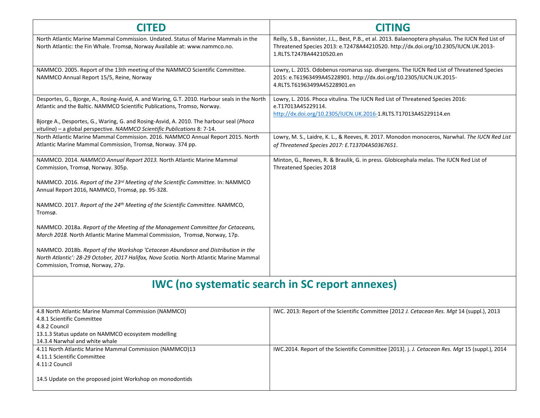| <b>CITED</b>                                                                                                                                                                                                                                                                                                                                                                                                                                                                                                                                                                                                                                                                                                                                              | <b>CITING</b>                                                                                                                                                                                                         |  |
|-----------------------------------------------------------------------------------------------------------------------------------------------------------------------------------------------------------------------------------------------------------------------------------------------------------------------------------------------------------------------------------------------------------------------------------------------------------------------------------------------------------------------------------------------------------------------------------------------------------------------------------------------------------------------------------------------------------------------------------------------------------|-----------------------------------------------------------------------------------------------------------------------------------------------------------------------------------------------------------------------|--|
| North Atlantic Marine Mammal Commission. Undated. Status of Marine Mammals in the<br>North Atlantic: the Fin Whale. Tromsø, Norway Available at: www.nammco.no.                                                                                                                                                                                                                                                                                                                                                                                                                                                                                                                                                                                           | Reilly, S.B., Bannister, J.L., Best, P.B., et al. 2013. Balaenoptera physalus. The IUCN Red List of<br>Threatened Species 2013: e.T2478A44210520. http://dx.doi.org/10.2305/IUCN.UK.2013-<br>1.RLTS.T2478A44210520.en |  |
| NAMMCO. 2005. Report of the 13th meeting of the NAMMCO Scientific Committee.<br>NAMMCO Annual Report 15/5, Reine, Norway                                                                                                                                                                                                                                                                                                                                                                                                                                                                                                                                                                                                                                  | Lowry, L. 2015. Odobenus rosmarus ssp. divergens. The IUCN Red List of Threatened Species<br>2015: e.T61963499A45228901. http://dx.doi.org/10.2305/IUCN.UK.2015-<br>4.RLTS.T61963499A45228901.en                      |  |
| Desportes, G., Bjorge, A., Rosing-Asvid, A. and Waring, G.T. 2010. Harbour seals in the North<br>Atlantic and the Baltic. NAMMCO Scientific Publications, Tromso, Norway.<br>Bjorge A., Desportes, G., Waring, G. and Rosing-Asvid, A. 2010. The harbour seal (Phoca<br>vitulina) – a global perspective. NAMMCO Scientific Publications 8: 7-14.                                                                                                                                                                                                                                                                                                                                                                                                         | Lowry, L. 2016. Phoca vitulina. The IUCN Red List of Threatened Species 2016:<br>e.T17013A45229114.<br>http://dx.doi.org/10.2305/IUCN.UK.2016-1.RLTS.T17013A45229114.en                                               |  |
| North Atlantic Marine Mammal Commission. 2016. NAMMCO Annual Report 2015. North<br>Atlantic Marine Mammal Commission, Tromsø, Norway. 374 pp.                                                                                                                                                                                                                                                                                                                                                                                                                                                                                                                                                                                                             | Lowry, M. S., Laidre, K. L., & Reeves, R. 2017. Monodon monoceros, Narwhal. The IUCN Red List<br>of Threatened Species 2017: E.T13704A50367651.                                                                       |  |
| NAMMCO. 2014. NAMMCO Annual Report 2013. North Atlantic Marine Mammal<br>Commission, Tromsø, Norway. 305p.<br>NAMMCO. 2016. Report of the 23 <sup>rd</sup> Meeting of the Scientific Committee. In: NAMMCO<br>Annual Report 2016, NAMMCO, Tromsø, pp. 95-328.<br>NAMMCO. 2017. Report of the 24 <sup>th</sup> Meeting of the Scientific Committee. NAMMCO,<br>Tromsø.<br>NAMMCO. 2018a. Report of the Meeting of the Management Committee for Cetaceans,<br>March 2018. North Atlantic Marine Mammal Commission, Tromsø, Norway, 17p.<br>NAMMCO. 2018b. Report of the Workshop 'Cetacean Abundance and Distribution in the<br>North Atlantic': 28-29 October, 2017 Halifax, Nova Scotia. North Atlantic Marine Mammal<br>Commission, Tromsø, Norway, 27p. | Minton, G., Reeves, R. & Braulik, G. in press. Globicephala melas. The IUCN Red List of<br>Threatened Species 2018                                                                                                    |  |
| <b>IWC</b> (no systematic search in SC report annexes)                                                                                                                                                                                                                                                                                                                                                                                                                                                                                                                                                                                                                                                                                                    |                                                                                                                                                                                                                       |  |
| 4.8 North Atlantic Marine Mammal Commission (NAMMCO)<br>4.8.1 Scientific Committee<br>4.8.2 Council<br>13.1.3 Status update on NAMMCO ecosystem modelling<br>14.3.4 Narwhal and white whale                                                                                                                                                                                                                                                                                                                                                                                                                                                                                                                                                               | IWC. 2013: Report of the Scientific Committee [2012 J. Cetacean Res. Mgt 14 (suppl.), 2013                                                                                                                            |  |
| 4.11 North Atlantic Marine Mammal Commission (NAMMCO)13<br>4.11.1 Scientific Committee<br>4.11:2 Council                                                                                                                                                                                                                                                                                                                                                                                                                                                                                                                                                                                                                                                  | IWC.2014. Report of the Scientific Committee [2013]. j. J. Cetacean Res. Mgt 15 (suppl.), 2014                                                                                                                        |  |

14.5 Update on the proposed joint Workshop on monodontids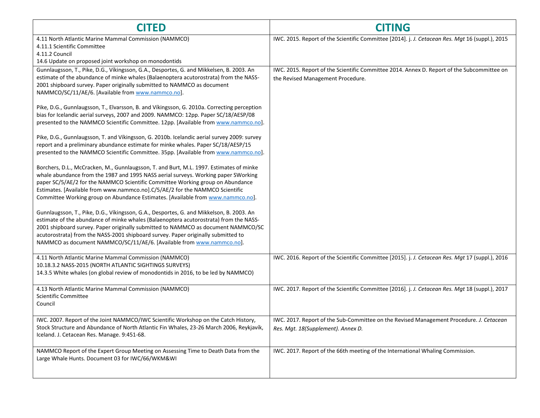| <b>CITED</b>                                                                                                                                                                                                                                                                                                                                                                                                                         | <b>CITING</b>                                                                                                                   |
|--------------------------------------------------------------------------------------------------------------------------------------------------------------------------------------------------------------------------------------------------------------------------------------------------------------------------------------------------------------------------------------------------------------------------------------|---------------------------------------------------------------------------------------------------------------------------------|
| 4.11 North Atlantic Marine Mammal Commission (NAMMCO)<br>4.11.1 Scientific Committee<br>4.11.2 Council                                                                                                                                                                                                                                                                                                                               | IWC. 2015. Report of the Scientific Committee [2014]. j. J. Cetacean Res. Mgt 16 (suppl.), 2015                                 |
| 14.6 Update on proposed joint workshop on monodontids                                                                                                                                                                                                                                                                                                                                                                                |                                                                                                                                 |
| Gunnlaugsson, T., Pike, D.G., Víkingsson, G.A., Desportes, G. and Mikkelsen, B. 2003. An<br>estimate of the abundance of minke whales (Balaenoptera acutorostrata) from the NASS-<br>2001 shipboard survey. Paper originally submitted to NAMMCO as document<br>NAMMCO/SC/11/AE/6. [Available from www.nammco.no].                                                                                                                   | IWC. 2015. Report of the Scientific Committee 2014. Annex D. Report of the Subcommittee on<br>the Revised Management Procedure. |
| Pike, D.G., Gunnlaugsson, T., Elvarsson, B. and Víkingsson, G. 2010a. Correcting perception<br>bias for Icelandic aerial surveys, 2007 and 2009. NAMMCO: 12pp. Paper SC/18/AESP/08<br>presented to the NAMMCO Scientific Committee. 12pp. [Available from www.nammco.no].                                                                                                                                                            |                                                                                                                                 |
| Pike, D.G., Gunnlaugsson, T. and Víkingsson, G. 2010b. Icelandic aerial survey 2009: survey<br>report and a preliminary abundance estimate for minke whales. Paper SC/18/AESP/15<br>presented to the NAMMCO Scientific Committee. 35pp. [Available from www.nammco.no].                                                                                                                                                              |                                                                                                                                 |
| Borchers, D.L., McCracken, M., Gunnlaugsson, T. and Burt, M.L. 1997. Estimates of minke<br>whale abundance from the 1987 and 1995 NASS aerial surveys. Working paper SWorking<br>paper SC/5/AE/2 for the NAMMCO Scientific Committee Working group on Abundance<br>Estimates. [Available from www.nammco.no].C/5/AE/2 for the NAMMCO Scientific<br>Committee Working group on Abundance Estimates. [Available from www.nammco.no].   |                                                                                                                                 |
| Gunnlaugsson, T., Pike, D.G., Víkingsson, G.A., Desportes, G. and Mikkelson, B. 2003. An<br>estimate of the abundance of minke whales (Balaenoptera acutorostrata) from the NASS-<br>2001 shipboard survey. Paper originally submitted to NAMMCO as document NAMMCO/SC<br>acutorostrata) from the NASS-2001 shipboard survey. Paper originally submitted to<br>NAMMCO as document NAMMCO/SC/11/AE/6. [Available from www.nammco.no]. |                                                                                                                                 |
| 4.11 North Atlantic Marine Mammal Commission (NAMMCO)<br>10.18.3.2 NASS-2015 (NORTH ATLANTIC SIGHTINGS SURVEYS)<br>14.3.5 White whales (on global review of monodontids in 2016, to be led by NAMMCO)                                                                                                                                                                                                                                | IWC. 2016. Report of the Scientific Committee [2015]. j. J. Cetacean Res. Mgt 17 (suppl.), 2016                                 |
| 4.13 North Atlantic Marine Mammal Commission (NAMMCO)<br>Scientific Committee<br>Council                                                                                                                                                                                                                                                                                                                                             | IWC. 2017. Report of the Scientific Committee [2016]. j. J. Cetacean Res. Mgt 18 (suppl.), 2017                                 |
| IWC. 2007. Report of the Joint NAMMCO/IWC Scientific Workshop on the Catch History,<br>Stock Structure and Abundance of North Atlantic Fin Whales, 23-26 March 2006, Reykjavík,<br>Iceland. J. Cetacean Res. Manage. 9:451-68.                                                                                                                                                                                                       | IWC. 2017. Report of the Sub-Committee on the Revised Management Procedure. J. Cetacean<br>Res. Mgt. 18(Supplement). Annex D.   |
| NAMMCO Report of the Expert Group Meeting on Assessing Time to Death Data from the<br>Large Whale Hunts. Document 03 for IWC/66/WKM&WI                                                                                                                                                                                                                                                                                               | IWC. 2017. Report of the 66th meeting of the International Whaling Commission.                                                  |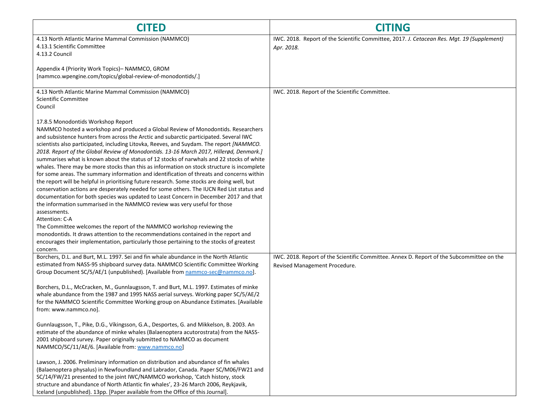| <b>CITED</b>                                                                                                                                                                                                                                                                                                                                                                                                                                                                                                                                                                                                                                                                                                                                                                                                                                                                                                                                                                                                                                        | <b>CITING</b>                                                                                                              |
|-----------------------------------------------------------------------------------------------------------------------------------------------------------------------------------------------------------------------------------------------------------------------------------------------------------------------------------------------------------------------------------------------------------------------------------------------------------------------------------------------------------------------------------------------------------------------------------------------------------------------------------------------------------------------------------------------------------------------------------------------------------------------------------------------------------------------------------------------------------------------------------------------------------------------------------------------------------------------------------------------------------------------------------------------------|----------------------------------------------------------------------------------------------------------------------------|
| 4.13 North Atlantic Marine Mammal Commission (NAMMCO)<br>4.13.1 Scientific Committee<br>4.13.2 Council<br>Appendix 4 (Priority Work Topics)- NAMMCO, GROM<br>[nammco.wpengine.com/topics/global-review-of-monodontids/.]                                                                                                                                                                                                                                                                                                                                                                                                                                                                                                                                                                                                                                                                                                                                                                                                                            | IWC. 2018. Report of the Scientific Committee, 2017. J. Cetacean Res. Mgt. 19 (Supplement)<br>Apr. 2018.                   |
| 4.13 North Atlantic Marine Mammal Commission (NAMMCO)<br>Scientific Committee<br>Council<br>17.8.5 Monodontids Workshop Report<br>NAMMCO hosted a workshop and produced a Global Review of Monodontids. Researchers                                                                                                                                                                                                                                                                                                                                                                                                                                                                                                                                                                                                                                                                                                                                                                                                                                 | IWC. 2018. Report of the Scientific Committee.                                                                             |
| and subsistence hunters from across the Arctic and subarctic participated. Several IWC<br>scientists also participated, including Litovka, Reeves, and Suydam. The report [NAMMCO.<br>2018. Report of the Global Review of Monodontids. 13-16 March 2017, Hillerød, Denmark.]<br>summarises what is known about the status of 12 stocks of narwhals and 22 stocks of white<br>whales. There may be more stocks than this as information on stock structure is incomplete<br>for some areas. The summary information and identification of threats and concerns within<br>the report will be helpful in prioritising future research. Some stocks are doing well, but<br>conservation actions are desperately needed for some others. The IUCN Red List status and<br>documentation for both species was updated to Least Concern in December 2017 and that<br>the information summarised in the NAMMCO review was very useful for those<br>assessments.<br>Attention: C-A<br>The Committee welcomes the report of the NAMMCO workshop reviewing the |                                                                                                                            |
| monodontids. It draws attention to the recommendations contained in the report and<br>encourages their implementation, particularly those pertaining to the stocks of greatest<br>concern.                                                                                                                                                                                                                                                                                                                                                                                                                                                                                                                                                                                                                                                                                                                                                                                                                                                          |                                                                                                                            |
| Borchers, D.L. and Burt, M.L. 1997. Sei and fin whale abundance in the North Atlantic<br>estimated from NASS-95 shipboard survey data. NAMMCO Scientific Committee Working<br>Group Document SC/5/AE/1 (unpublished). [Available from nammco-sec@nammco.no].                                                                                                                                                                                                                                                                                                                                                                                                                                                                                                                                                                                                                                                                                                                                                                                        | IWC. 2018. Report of the Scientific Committee. Annex D. Report of the Subcommittee on the<br>Revised Management Procedure. |
| Borchers, D.L., McCracken, M., Gunnlaugsson, T. and Burt, M.L. 1997. Estimates of minke<br>whale abundance from the 1987 and 1995 NASS aerial surveys. Working paper SC/5/AE/2<br>for the NAMMCO Scientific Committee Working group on Abundance Estimates. [Available<br>from: www.nammco.no].                                                                                                                                                                                                                                                                                                                                                                                                                                                                                                                                                                                                                                                                                                                                                     |                                                                                                                            |
| Gunnlaugsson, T., Pike, D.G., Víkingsson, G.A., Desportes, G. and Mikkelson, B. 2003. An<br>estimate of the abundance of minke whales (Balaenoptera acutorostrata) from the NASS-<br>2001 shipboard survey. Paper originally submitted to NAMMCO as document<br>NAMMCO/SC/11/AE/6. [Available from: www.nammco.no]                                                                                                                                                                                                                                                                                                                                                                                                                                                                                                                                                                                                                                                                                                                                  |                                                                                                                            |
| Lawson, J. 2006. Preliminary information on distribution and abundance of fin whales<br>(Balaenoptera physalus) in Newfoundland and Labrador, Canada. Paper SC/M06/FW21 and<br>SC/14/FW/21 presented to the joint IWC/NAMMCO workshop, 'Catch history, stock<br>structure and abundance of North Atlantic fin whales', 23-26 March 2006, Reykjavik,<br>Iceland (unpublished). 13pp. [Paper available from the Office of this Journal].                                                                                                                                                                                                                                                                                                                                                                                                                                                                                                                                                                                                              |                                                                                                                            |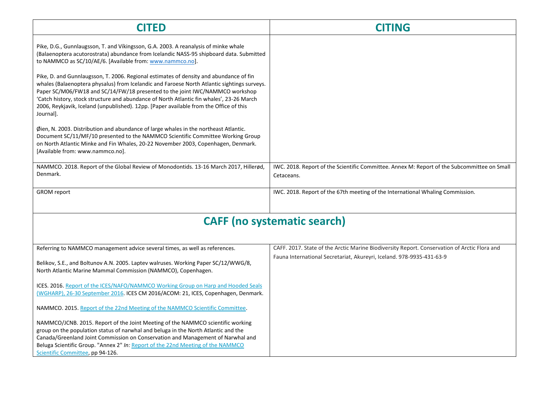| CITED                                                                                                                                                                                                                                                                                                                                                                                                                                                                    | <b>CITING</b>                                                                                             |
|--------------------------------------------------------------------------------------------------------------------------------------------------------------------------------------------------------------------------------------------------------------------------------------------------------------------------------------------------------------------------------------------------------------------------------------------------------------------------|-----------------------------------------------------------------------------------------------------------|
| Pike, D.G., Gunnlaugsson, T. and Víkingsson, G.A. 2003. A reanalysis of minke whale<br>(Balaenoptera acutorostrata) abundance from Icelandic NASS-95 shipboard data. Submitted<br>to NAMMCO as SC/10/AE/6. [Available from: www.nammco.no].                                                                                                                                                                                                                              |                                                                                                           |
| Pike, D. and Gunnlaugsson, T. 2006. Regional estimates of density and abundance of fin<br>whales (Balaenoptera physalus) from Icelandic and Faroese North Atlantic sightings surveys.<br>Paper SC/M06/FW18 and SC/14/FW/18 presented to the joint IWC/NAMMCO workshop<br>'Catch history, stock structure and abundance of North Atlantic fin whales', 23-26 March<br>2006, Reykjavik, Iceland (unpublished). 12pp. [Paper available from the Office of this<br>Journal]. |                                                                                                           |
| Øien, N. 2003. Distribution and abundance of large whales in the northeast Atlantic.<br>Document SC/11/MF/10 presented to the NAMMCO Scientific Committee Working Group<br>on North Atlantic Minke and Fin Whales, 20-22 November 2003, Copenhagen, Denmark.<br>[Available from: www.nammco.no].                                                                                                                                                                         |                                                                                                           |
| NAMMCO. 2018. Report of the Global Review of Monodontids. 13-16 March 2017, Hillerød,<br>Denmark.                                                                                                                                                                                                                                                                                                                                                                        | IWC. 2018. Report of the Scientific Committee. Annex M: Report of the Subcommittee on Small<br>Cetaceans. |
| <b>GROM</b> report                                                                                                                                                                                                                                                                                                                                                                                                                                                       | IWC. 2018. Report of the 67th meeting of the International Whaling Commission.                            |
| CAEE (no systamatic saarch)                                                                                                                                                                                                                                                                                                                                                                                                                                              |                                                                                                           |

|  | <b>CAFF (no systematic search)</b> |  |  |
|--|------------------------------------|--|--|
|--|------------------------------------|--|--|

| Referring to NAMMCO management advice several times, as well as references.                                                                                                                                                                                                                                                                                                     | CAFF. 2017. State of the Arctic Marine Biodiversity Report. Conservation of Arctic Flora and |
|---------------------------------------------------------------------------------------------------------------------------------------------------------------------------------------------------------------------------------------------------------------------------------------------------------------------------------------------------------------------------------|----------------------------------------------------------------------------------------------|
| Belikov, S.E., and Boltunov A.N. 2005. Laptev walruses. Working Paper SC/12/WWG/8,<br>North Atlantic Marine Mammal Commission (NAMMCO), Copenhagen.                                                                                                                                                                                                                             | Fauna International Secretariat, Akureyri, Iceland. 978-9935-431-63-9                        |
| <b>ICES. 2016.</b> Report of the ICES/NAFO/NAMMCO Working Group on Harp and Hooded Seals<br>(WGHARP), 26-30 September 2016. ICES CM 2016/ACOM: 21, ICES, Copenhagen, Denmark.                                                                                                                                                                                                   |                                                                                              |
| NAMMCO. 2015. Report of the 22nd Meeting of the NAMMCO Scientific Committee.                                                                                                                                                                                                                                                                                                    |                                                                                              |
| NAMMCO/JCNB. 2015. Report of the Joint Meeting of the NAMMCO scientific working<br>group on the population status of narwhal and beluga in the North Atlantic and the<br>Canada/Greenland Joint Commission on Conservation and Management of Narwhal and<br>Beluga Scientific Group. "Annex 2" In: Report of the 22nd Meeting of the NAMMCO<br>Scientific Committee, pp 94-126. |                                                                                              |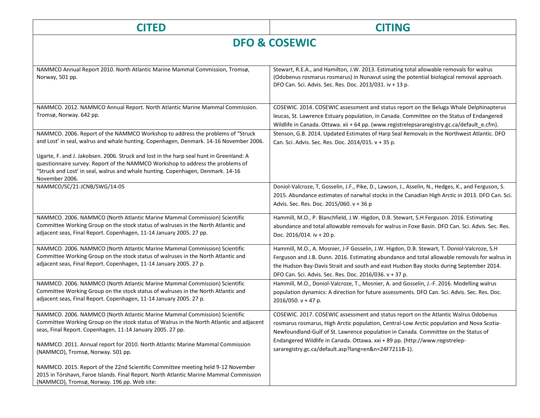| <b>CITED</b>                                                                                                                                                                                                                                                                                                                                              | <b>CITING</b>                                                                                                                                                                                                                                                                                                                                                                                                   |
|-----------------------------------------------------------------------------------------------------------------------------------------------------------------------------------------------------------------------------------------------------------------------------------------------------------------------------------------------------------|-----------------------------------------------------------------------------------------------------------------------------------------------------------------------------------------------------------------------------------------------------------------------------------------------------------------------------------------------------------------------------------------------------------------|
| <b>DFO &amp; COSEWIC</b>                                                                                                                                                                                                                                                                                                                                  |                                                                                                                                                                                                                                                                                                                                                                                                                 |
|                                                                                                                                                                                                                                                                                                                                                           |                                                                                                                                                                                                                                                                                                                                                                                                                 |
| NAMMCO Annual Report 2010. North Atlantic Marine Mammal Commission, Tromsø,<br>Norway, 501 pp.                                                                                                                                                                                                                                                            | Stewart, R.E.A., and Hamilton, J.W. 2013. Estimating total allowable removals for walrus<br>(Odobenus rosmarus rosmarus) in Nunavut using the potential biological removal approach.<br>DFO Can. Sci. Advis. Sec. Res. Doc. 2013/031. iv + 13 p.                                                                                                                                                                |
| NAMMCO. 2012. NAMMCO Annual Report. North Atlantic Marine Mammal Commission.<br>Tromsø, Norway. 642 pp.                                                                                                                                                                                                                                                   | COSEWIC. 2014. COSEWIC assessment and status report on the Beluga Whale Delphinapterus<br>leucas, St. Lawrence Estuary population, in Canada. Committee on the Status of Endangered<br>Wildlife in Canada. Ottawa. xii + 64 pp. (www.registrelepsararegistry.gc.ca/default_e.cfm).                                                                                                                              |
| NAMMCO. 2006. Report of the NAMMCO Workshop to address the problems of "Struck<br>and Lost' in seal, walrus and whale hunting. Copenhagen, Denmark. 14-16 November 2006.                                                                                                                                                                                  | Stenson, G.B. 2014. Updated Estimates of Harp Seal Removals in the Northwest Atlantic. DFO<br>Can. Sci. Advis. Sec. Res. Doc. 2014/015. v + 35 p.                                                                                                                                                                                                                                                               |
| Ugarte, F. and J. Jakobsen. 2006. Struck and lost in the harp seal hunt in Greenland: A<br>questionnaire survey. Report of the NAMMCO Workshop to address the problems of<br>"Struck and Lost' in seal, walrus and whale hunting. Copenhagen, Denmark. 14-16<br>November 2006.                                                                            |                                                                                                                                                                                                                                                                                                                                                                                                                 |
| NAMMCO/SC/21-JCNB/SWG/14-05                                                                                                                                                                                                                                                                                                                               | Doniol-Valcroze, T, Gosselin, J.F., Pike, D., Lawson, J., Asselin, N., Hedges, K., and Ferguson, S.<br>2015. Abundance estimates of narwhal stocks in the Canadian High Arctic in 2013. DFO Can. Sci.<br>Advis. Sec. Res. Doc. 2015/060. v + 36 p                                                                                                                                                               |
| NAMMCO. 2006. NAMMCO (North Atlantic Marine Mammal Commission) Scientific<br>Committee Working Group on the stock status of walruses in the North Atlantic and<br>adjacent seas, Final Report. Copenhagen, 11-14 January 2005. 27 pp.                                                                                                                     | Hammill, M.O., P. Blanchfield, J.W. Higdon, D.B. Stewart, S.H Ferguson. 2016. Estimating<br>abundance and total allowable removals for walrus in Foxe Basin. DFO Can. Sci. Advis. Sec. Res.<br>Doc. 2016/014. iv + 20 p.                                                                                                                                                                                        |
| NAMMCO. 2006. NAMMCO (North Atlantic Marine Mammal Commission) Scientific<br>Committee Working Group on the stock status of walruses in the North Atlantic and<br>adjacent seas, Final Report. Copenhagen, 11-14 January 2005. 27 p.                                                                                                                      | Hammill, M.O., A. Mosnier, J-F Gosselin, J.W. Higdon, D.B. Stewart, T. Doniol-Valcroze, S.H<br>Ferguson and J.B. Dunn. 2016. Estimating abundance and total allowable removals for walrus in<br>the Hudson Bay-Davis Strait and south and east Hudson Bay stocks during September 2014.<br>DFO Can. Sci. Advis. Sec. Res. Doc. 2016/036. v + 37 p.                                                              |
| NAMMCO. 2006. NAMMCO (North Atlantic Marine Mammal Commission) Scientific<br>Committee Working Group on the stock status of walruses in the North Atlantic and<br>adjacent seas, Final Report. Copenhagen, 11-14 January 2005. 27 p.                                                                                                                      | Hammill, M.O., Doniol-Valcroze, T., Mosnier, A. and Gosselin, J.-F. 2016. Modelling walrus<br>population dynamics: A direction for future assessments. DFO Can. Sci. Advis. Sec. Res. Doc.<br>2016/050. $v + 47 p$ .                                                                                                                                                                                            |
| NAMMCO. 2006. NAMMCO (North Atlantic Marine Mammal Commission) Scientific<br>Committee Working Group on the stock status of Walrus in the North Atlantic and adjacent<br>seas, Final Report. Copenhagen, 11-14 January 2005. 27 pp.<br>NAMMCO. 2011. Annual report for 2010. North Atlantic Marine Mammal Commission<br>(NAMMCO), Tromsø, Norway. 501 pp. | COSEWIC. 2017. COSEWIC assessment and status report on the Atlantic Walrus Odobenus<br>rosmarus rosmarus, High Arctic population, Central-Low Arctic population and Nova Scotia-<br>Newfoundland-Gulf of St. Lawrence population in Canada. Committee on the Status of<br>Endangered Wildlife in Canada. Ottawa. xxi + 89 pp. (http://www.registrelep-<br>sararegistry.gc.ca/default.asp?lang=en&n=24F7211B-1). |
| NAMMCO. 2015. Report of the 22nd Scientific Committee meeting held 9-12 November<br>2015 in Tórshavn, Faroe Islands. Final Report. North Atlantic Marine Mammal Commission<br>(NAMMCO), Tromsø, Norway. 196 pp. Web site:                                                                                                                                 |                                                                                                                                                                                                                                                                                                                                                                                                                 |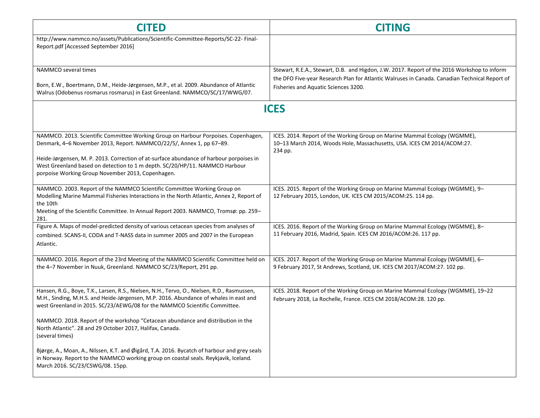| <b>CITED</b>                                                                                                                                                                                                                                                                     | <b>CITING</b>                                                                                                                                                                                |
|----------------------------------------------------------------------------------------------------------------------------------------------------------------------------------------------------------------------------------------------------------------------------------|----------------------------------------------------------------------------------------------------------------------------------------------------------------------------------------------|
| http://www.nammco.no/assets/Publications/Scientific-Committee-Reports/SC-22-Final-<br>Report.pdf [Accessed September 2016]                                                                                                                                                       |                                                                                                                                                                                              |
| NAMMCO several times                                                                                                                                                                                                                                                             | Stewart, R.E.A., Stewart, D.B. and Higdon, J.W. 2017. Report of the 2016 Workshop to inform<br>the DFO Five-year Research Plan for Atlantic Walruses in Canada. Canadian Technical Report of |
| Born, E.W., Boertmann, D.M., Heide-Jørgensen, M.P., et al. 2009. Abundance of Atlantic<br>Walrus (Odobenus rosmarus rosmarus) in East Greenland. NAMMCO/SC/17/WWG/07.                                                                                                            | Fisheries and Aquatic Sciences 3200.                                                                                                                                                         |
|                                                                                                                                                                                                                                                                                  | <b>ICES</b>                                                                                                                                                                                  |
| NAMMCO. 2013. Scientific Committee Working Group on Harbour Porpoises. Copenhagen,<br>Denmark, 4-6 November 2013, Report. NAMMCO/22/5/, Annex 1, pp 67-89.                                                                                                                       | ICES. 2014. Report of the Working Group on Marine Mammal Ecology (WGMME),<br>10-13 March 2014, Woods Hole, Massachusetts, USA. ICES CM 2014/ACOM:27.                                         |
| Heide-Jørgensen, M. P. 2013. Correction of at-surface abundance of harbour porpoises in<br>West Greenland based on detection to 1 m depth. SC/20/HP/11. NAMMCO Harbour<br>porpoise Working Group November 2013, Copenhagen.                                                      | 234 pp.                                                                                                                                                                                      |
| NAMMCO. 2003. Report of the NAMMCO Scientific Committee Working Group on<br>Modelling Marine Mammal Fisheries Interactions in the North Atlantic, Annex 2, Report of<br>the 10th<br>Meeting of the Scientific Committee. In Annual Report 2003. NAMMCO, Tromsø: pp. 259-<br>281. | ICES. 2015. Report of the Working Group on Marine Mammal Ecology (WGMME), 9-<br>12 February 2015, London, UK. ICES CM 2015/ACOM:25. 114 pp.                                                  |
| Figure A. Maps of model-predicted density of various cetacean species from analyses of<br>combined. SCANS-II, CODA and T-NASS data in summer 2005 and 2007 in the European<br>Atlantic.                                                                                          | ICES. 2016. Report of the Working Group on Marine Mammal Ecology (WGMME), 8-<br>11 February 2016, Madrid, Spain. ICES CM 2016/ACOM:26. 117 pp.                                               |
| NAMMCO. 2016. Report of the 23rd Meeting of the NAMMCO Scientific Committee held on<br>the 4-7 November in Nuuk, Greenland. NAMMCO SC/23/Report, 291 pp.                                                                                                                         | ICES. 2017. Report of the Working Group on Marine Mammal Ecology (WGMME), 6-<br>9 February 2017, St Andrews, Scotland, UK. ICES CM 2017/ACOM:27. 102 pp.                                     |
| Hansen, R.G., Boye, T.K., Larsen, R.S., Nielsen, N.H., Tervo, O., Nielsen, R.D., Rasmussen,<br>M.H., Sinding, M.H.S. and Heide-Jørgensen, M.P. 2016. Abundance of whales in east and<br>west Greenland in 2015. SC/23/AEWG/08 for the NAMMCO Scientific Committee.               | ICES. 2018. Report of the Working Group on Marine Mammal Ecology (WGMME), 19-22<br>February 2018, La Rochelle, France. ICES CM 2018/ACOM:28. 120 pp.                                         |
| NAMMCO. 2018. Report of the workshop "Cetacean abundance and distribution in the<br>North Atlantic". 28 and 29 October 2017, Halifax, Canada.<br>(several times)                                                                                                                 |                                                                                                                                                                                              |
| Bjørge, A., Moan, A., Nilssen, K.T. and Øigård, T.A. 2016. Bycatch of harbour and grey seals<br>in Norway. Report to the NAMMCO working group on coastal seals. Reykjavik, Iceland.<br>March 2016. SC/23/CSWG/08. 15pp.                                                          |                                                                                                                                                                                              |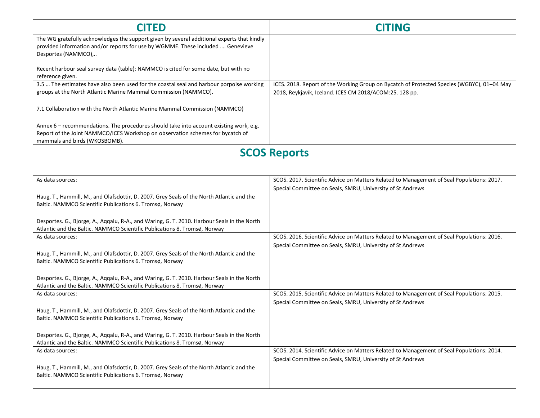| <b>CITED</b>                                                                                                                                                                                              | <b>CITING</b>                                                                                                                                           |
|-----------------------------------------------------------------------------------------------------------------------------------------------------------------------------------------------------------|---------------------------------------------------------------------------------------------------------------------------------------------------------|
| The WG gratefully acknowledges the support given by several additional experts that kindly<br>provided information and/or reports for use by WGMME. These included  Genevieve<br>Desportes (NAMMCO),      |                                                                                                                                                         |
| Recent harbour seal survey data (table): NAMMCO is cited for some date, but with no<br>reference given.                                                                                                   |                                                                                                                                                         |
| 3.5  The estimates have also been used for the coastal seal and harbour porpoise working<br>groups at the North Atlantic Marine Mammal Commission (NAMMCO).                                               | ICES. 2018. Report of the Working Group on Bycatch of Protected Species (WGBYC), 01-04 May<br>2018, Reykjavík, Iceland. ICES CM 2018/ACOM:25. 128 pp.   |
| 7.1 Collaboration with the North Atlantic Marine Mammal Commission (NAMMCO)                                                                                                                               |                                                                                                                                                         |
| Annex 6 - recommendations. The procedures should take into account existing work, e.g.<br>Report of the Joint NAMMCO/ICES Workshop on observation schemes for bycatch of<br>mammals and birds (WKOSBOMB). |                                                                                                                                                         |
|                                                                                                                                                                                                           | <b>SCOS Reports</b>                                                                                                                                     |
| As data sources:                                                                                                                                                                                          | SCOS. 2017. Scientific Advice on Matters Related to Management of Seal Populations: 2017.                                                               |
|                                                                                                                                                                                                           | Special Committee on Seals, SMRU, University of St Andrews                                                                                              |
| Haug, T., Hammill, M., and Olafsdottir, D. 2007. Grey Seals of the North Atlantic and the<br>Baltic. NAMMCO Scientific Publications 6. Tromsø, Norway                                                     |                                                                                                                                                         |
| Desportes. G., Bjorge, A., Aqqalu, R-A., and Waring, G. T. 2010. Harbour Seals in the North<br>Atlantic and the Baltic. NAMMCO Scientific Publications 8. Tromsø, Norway                                  |                                                                                                                                                         |
| As data sources:                                                                                                                                                                                          | SCOS. 2016. Scientific Advice on Matters Related to Management of Seal Populations: 2016.<br>Special Committee on Seals, SMRU, University of St Andrews |
| Haug, T., Hammill, M., and Olafsdottir, D. 2007. Grey Seals of the North Atlantic and the<br>Baltic. NAMMCO Scientific Publications 6. Tromsø, Norway                                                     |                                                                                                                                                         |
| Desportes. G., Bjorge, A., Aqqalu, R-A., and Waring, G. T. 2010. Harbour Seals in the North<br>Atlantic and the Baltic. NAMMCO Scientific Publications 8. Tromsø, Norway                                  |                                                                                                                                                         |
| As data sources:                                                                                                                                                                                          | SCOS. 2015. Scientific Advice on Matters Related to Management of Seal Populations: 2015.                                                               |
| Haug, T., Hammill, M., and Olafsdottir, D. 2007. Grey Seals of the North Atlantic and the<br>Baltic. NAMMCO Scientific Publications 6. Tromsø, Norway                                                     | Special Committee on Seals, SMRU, University of St Andrews                                                                                              |
| Desportes. G., Bjorge, A., Aqqalu, R-A., and Waring, G. T. 2010. Harbour Seals in the North<br>Atlantic and the Baltic. NAMMCO Scientific Publications 8. Tromsø, Norway                                  |                                                                                                                                                         |
| As data sources:                                                                                                                                                                                          | SCOS. 2014. Scientific Advice on Matters Related to Management of Seal Populations: 2014.                                                               |
| Haug, T., Hammill, M., and Olafsdottir, D. 2007. Grey Seals of the North Atlantic and the<br>Baltic. NAMMCO Scientific Publications 6. Tromsø, Norway                                                     | Special Committee on Seals, SMRU, University of St Andrews                                                                                              |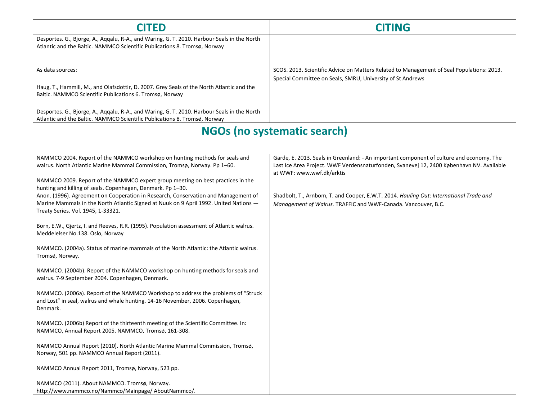| <b>CITED</b>                                                                                                                                                                                                                                                                                                                                          | <b>CITING</b>                                                                                                                                                                                                     |
|-------------------------------------------------------------------------------------------------------------------------------------------------------------------------------------------------------------------------------------------------------------------------------------------------------------------------------------------------------|-------------------------------------------------------------------------------------------------------------------------------------------------------------------------------------------------------------------|
| Desportes. G., Bjorge, A., Aqqalu, R-A., and Waring, G. T. 2010. Harbour Seals in the North<br>Atlantic and the Baltic. NAMMCO Scientific Publications 8. Tromsø, Norway                                                                                                                                                                              |                                                                                                                                                                                                                   |
| As data sources:<br>Haug, T., Hammill, M., and Olafsdottir, D. 2007. Grey Seals of the North Atlantic and the<br>Baltic. NAMMCO Scientific Publications 6. Tromsø, Norway<br>Desportes. G., Bjorge, A., Aqqalu, R-A., and Waring, G. T. 2010. Harbour Seals in the North<br>Atlantic and the Baltic. NAMMCO Scientific Publications 8. Tromsø, Norway | SCOS. 2013. Scientific Advice on Matters Related to Management of Seal Populations: 2013.<br>Special Committee on Seals, SMRU, University of St Andrews                                                           |
| <b>NGOs (no systematic search)</b>                                                                                                                                                                                                                                                                                                                    |                                                                                                                                                                                                                   |
| NAMMCO 2004. Report of the NAMMCO workshop on hunting methods for seals and<br>walrus. North Atlantic Marine Mammal Commission, Tromsø, Norway. Pp 1-60.<br>NAMMCO 2009. Report of the NAMMCO expert group meeting on best practices in the<br>hunting and killing of seals. Copenhagen, Denmark. Pp 1-30.                                            | Garde, E. 2013. Seals in Greenland: - An important component of culture and economy. The<br>Last Ice Area Project. WWF Verdensnaturfonden, Svanevej 12, 2400 København NV. Available<br>at WWF: www.wwf.dk/arktis |
| Anon. (1996). Agreement on Cooperation in Research, Conservation and Management of<br>Marine Mammals in the North Atlantic Signed at Nuuk on 9 April 1992. United Nations -<br>Treaty Series. Vol. 1945, 1-33321.                                                                                                                                     | Shadbolt, T., Arnbom, T. and Cooper, E.W.T. 2014. Hauling Out: International Trade and<br>Management of Walrus. TRAFFIC and WWF-Canada. Vancouver, B.C.                                                           |
| Born, E.W., Gjertz, I. and Reeves, R.R. (1995). Population assessment of Atlantic walrus.<br>Meddelelser No.138. Oslo, Norway                                                                                                                                                                                                                         |                                                                                                                                                                                                                   |
| NAMMCO. (2004a). Status of marine mammals of the North Atlantic: the Atlantic walrus.<br>Tromsø, Norway.                                                                                                                                                                                                                                              |                                                                                                                                                                                                                   |
| NAMMCO. (2004b). Report of the NAMMCO workshop on hunting methods for seals and<br>walrus. 7-9 September 2004. Copenhagen, Denmark.                                                                                                                                                                                                                   |                                                                                                                                                                                                                   |
| NAMMCO. (2006a). Report of the NAMMCO Workshop to address the problems of "Struck<br>and Lost" in seal, walrus and whale hunting. 14-16 November, 2006. Copenhagen,<br>Denmark.                                                                                                                                                                       |                                                                                                                                                                                                                   |
| NAMMCO. (2006b) Report of the thirteenth meeting of the Scientific Committee. In:<br>NAMMCO, Annual Report 2005. NAMMCO, Tromsø, 161-308.                                                                                                                                                                                                             |                                                                                                                                                                                                                   |
| NAMMCO Annual Report (2010). North Atlantic Marine Mammal Commission, Tromsø,<br>Norway, 501 pp. NAMMCO Annual Report (2011).                                                                                                                                                                                                                         |                                                                                                                                                                                                                   |
| NAMMCO Annual Report 2011, Tromsø, Norway, 523 pp.                                                                                                                                                                                                                                                                                                    |                                                                                                                                                                                                                   |
| NAMMCO (2011). About NAMMCO. Tromsø, Norway.<br>http://www.nammco.no/Nammco/Mainpage/ AboutNammco/.                                                                                                                                                                                                                                                   |                                                                                                                                                                                                                   |